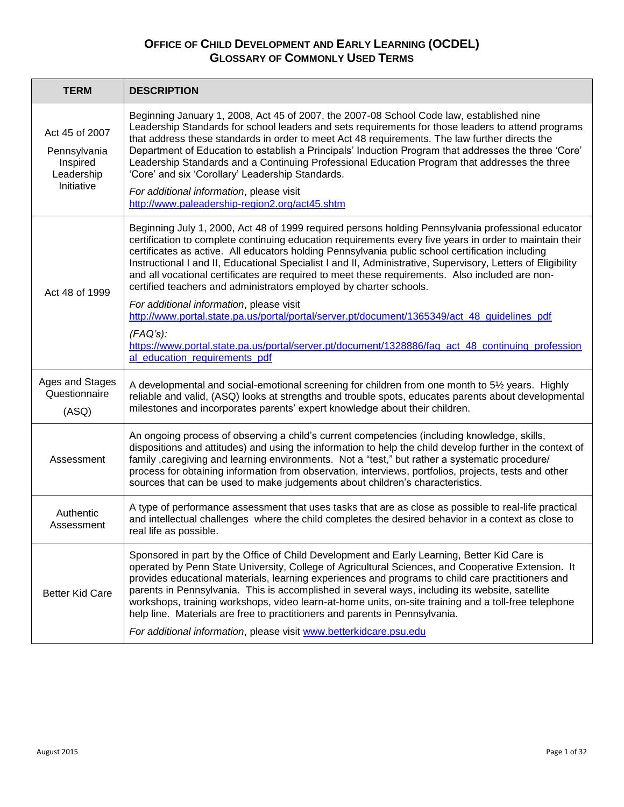| <b>TERM</b>                                                            | <b>DESCRIPTION</b>                                                                                                                                                                                                                                                                                                                                                                                                                                                                                                                                                                                                                                                     |
|------------------------------------------------------------------------|------------------------------------------------------------------------------------------------------------------------------------------------------------------------------------------------------------------------------------------------------------------------------------------------------------------------------------------------------------------------------------------------------------------------------------------------------------------------------------------------------------------------------------------------------------------------------------------------------------------------------------------------------------------------|
| Act 45 of 2007<br>Pennsylvania<br>Inspired<br>Leadership<br>Initiative | Beginning January 1, 2008, Act 45 of 2007, the 2007-08 School Code law, established nine<br>Leadership Standards for school leaders and sets requirements for those leaders to attend programs<br>that address these standards in order to meet Act 48 requirements. The law further directs the<br>Department of Education to establish a Principals' Induction Program that addresses the three 'Core'<br>Leadership Standards and a Continuing Professional Education Program that addresses the three<br>'Core' and six 'Corollary' Leadership Standards.<br>For additional information, please visit<br>http://www.paleadership-region2.org/act45.shtm            |
| Act 48 of 1999                                                         | Beginning July 1, 2000, Act 48 of 1999 required persons holding Pennsylvania professional educator<br>certification to complete continuing education requirements every five years in order to maintain their<br>certificates as active. All educators holding Pennsylvania public school certification including<br>Instructional I and II, Educational Specialist I and II, Administrative, Supervisory, Letters of Eligibility<br>and all vocational certificates are required to meet these requirements. Also included are non-<br>certified teachers and administrators employed by charter schools.                                                             |
|                                                                        | For additional information, please visit<br>http://www.portal.state.pa.us/portal/portal/server.pt/document/1365349/act_48_guidelines_pdf                                                                                                                                                                                                                                                                                                                                                                                                                                                                                                                               |
|                                                                        | (FAQ's):<br>https://www.portal.state.pa.us/portal/server.pt/document/1328886/faq_act_48_continuing_profession<br>al_education_requirements_pdf                                                                                                                                                                                                                                                                                                                                                                                                                                                                                                                         |
| Ages and Stages<br>Questionnaire<br>(ASQ)                              | A developmental and social-emotional screening for children from one month to 5½ years. Highly<br>reliable and valid, (ASQ) looks at strengths and trouble spots, educates parents about developmental<br>milestones and incorporates parents' expert knowledge about their children.                                                                                                                                                                                                                                                                                                                                                                                  |
| Assessment                                                             | An ongoing process of observing a child's current competencies (including knowledge, skills,<br>dispositions and attitudes) and using the information to help the child develop further in the context of<br>family , caregiving and learning environments. Not a "test," but rather a systematic procedure/<br>process for obtaining information from observation, interviews, portfolios, projects, tests and other<br>sources that can be used to make judgements about children's characteristics.                                                                                                                                                                 |
| Authentic<br>Assessment                                                | A type of performance assessment that uses tasks that are as close as possible to real-life practical<br>and intellectual challenges where the child completes the desired behavior in a context as close to<br>real life as possible.                                                                                                                                                                                                                                                                                                                                                                                                                                 |
| <b>Better Kid Care</b>                                                 | Sponsored in part by the Office of Child Development and Early Learning, Better Kid Care is<br>operated by Penn State University, College of Agricultural Sciences, and Cooperative Extension. It<br>provides educational materials, learning experiences and programs to child care practitioners and<br>parents in Pennsylvania. This is accomplished in several ways, including its website, satellite<br>workshops, training workshops, video learn-at-home units, on-site training and a toll-free telephone<br>help line. Materials are free to practitioners and parents in Pennsylvania.<br>For additional information, please visit www.betterkidcare.psu.edu |
|                                                                        |                                                                                                                                                                                                                                                                                                                                                                                                                                                                                                                                                                                                                                                                        |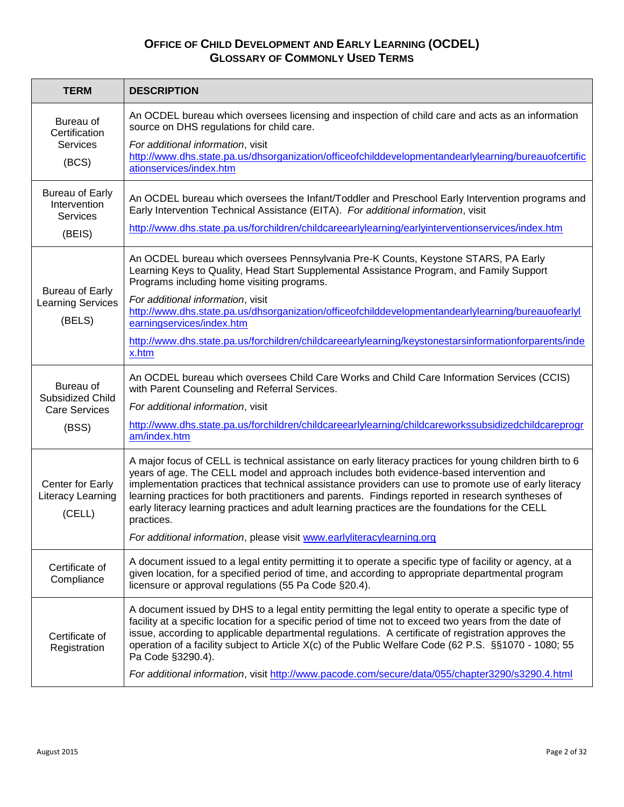| <b>TERM</b>                                                         | <b>DESCRIPTION</b>                                                                                                                                                                                                                                                                                                                                                                                                                                                                                                                                                                                          |
|---------------------------------------------------------------------|-------------------------------------------------------------------------------------------------------------------------------------------------------------------------------------------------------------------------------------------------------------------------------------------------------------------------------------------------------------------------------------------------------------------------------------------------------------------------------------------------------------------------------------------------------------------------------------------------------------|
| Bureau of<br>Certification<br><b>Services</b><br>(BCS)              | An OCDEL bureau which oversees licensing and inspection of child care and acts as an information<br>source on DHS regulations for child care.<br>For additional information, visit<br>http://www.dhs.state.pa.us/dhsorganization/officeofchilddevelopmentandearlylearning/bureauofcertific<br>ationservices/index.htm                                                                                                                                                                                                                                                                                       |
| <b>Bureau of Early</b><br>Intervention<br><b>Services</b><br>(BEIS) | An OCDEL bureau which oversees the Infant/Toddler and Preschool Early Intervention programs and<br>Early Intervention Technical Assistance (EITA). For additional information, visit<br>http://www.dhs.state.pa.us/forchildren/childcareearlylearning/earlyinterventionservices/index.htm                                                                                                                                                                                                                                                                                                                   |
| Bureau of Early<br><b>Learning Services</b><br>(BELS)               | An OCDEL bureau which oversees Pennsylvania Pre-K Counts, Keystone STARS, PA Early<br>Learning Keys to Quality, Head Start Supplemental Assistance Program, and Family Support<br>Programs including home visiting programs.<br>For additional information, visit<br>http://www.dhs.state.pa.us/dhsorganization/officeofchilddevelopmentandearlylearning/bureauofearlyl<br>earningservices/index.htm<br>http://www.dhs.state.pa.us/forchildren/childcareearlylearning/keystonestarsinformationforparents/inde<br>x.htm                                                                                      |
| Bureau of<br>Subsidized Child<br><b>Care Services</b><br>(BSS)      | An OCDEL bureau which oversees Child Care Works and Child Care Information Services (CCIS)<br>with Parent Counseling and Referral Services.<br>For additional information, visit<br>http://www.dhs.state.pa.us/forchildren/childcareearlylearning/childcareworkssubsidizedchildcareprogr<br>am/index.htm                                                                                                                                                                                                                                                                                                    |
| Center for Early<br>Literacy Learning<br>(CELL)                     | A major focus of CELL is technical assistance on early literacy practices for young children birth to 6<br>years of age. The CELL model and approach includes both evidence-based intervention and<br>implementation practices that technical assistance providers can use to promote use of early literacy<br>learning practices for both practitioners and parents. Findings reported in research syntheses of<br>early literacy learning practices and adult learning practices are the foundations for the CELL<br>practices.<br>For additional information, please visit www.earlyliteracylearning.org |
| Certificate of<br>Compliance                                        | A document issued to a legal entity permitting it to operate a specific type of facility or agency, at a<br>given location, for a specified period of time, and according to appropriate departmental program<br>licensure or approval regulations (55 Pa Code §20.4).                                                                                                                                                                                                                                                                                                                                      |
| Certificate of<br>Registration                                      | A document issued by DHS to a legal entity permitting the legal entity to operate a specific type of<br>facility at a specific location for a specific period of time not to exceed two years from the date of<br>issue, according to applicable departmental regulations. A certificate of registration approves the<br>operation of a facility subject to Article X(c) of the Public Welfare Code (62 P.S. §§1070 - 1080; 55<br>Pa Code §3290.4).<br>For additional information, visit http://www.pacode.com/secure/data/055/chapter3290/s3290.4.html                                                     |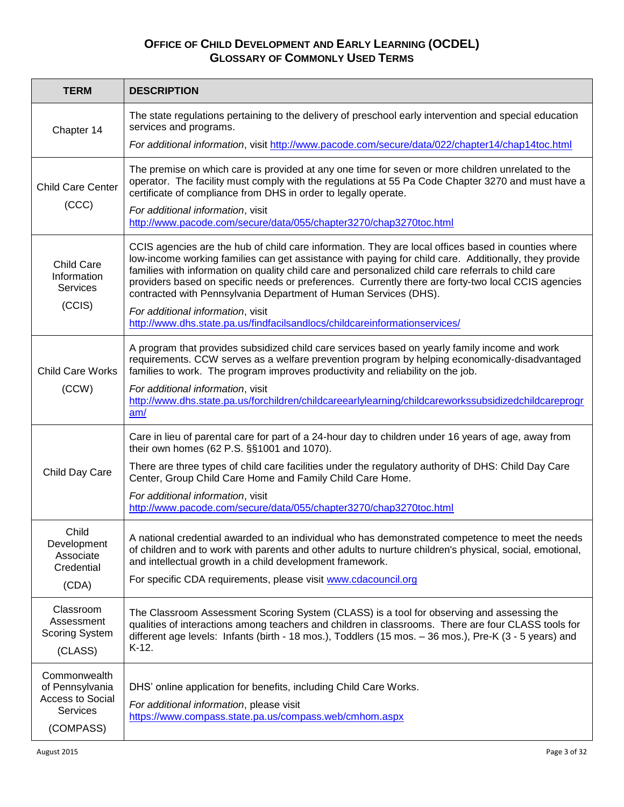| <b>TERM</b>                                                                         | <b>DESCRIPTION</b>                                                                                                                                                                                                                                                                                                                                                                                                                                                                                                                                                                                                |
|-------------------------------------------------------------------------------------|-------------------------------------------------------------------------------------------------------------------------------------------------------------------------------------------------------------------------------------------------------------------------------------------------------------------------------------------------------------------------------------------------------------------------------------------------------------------------------------------------------------------------------------------------------------------------------------------------------------------|
| Chapter 14                                                                          | The state regulations pertaining to the delivery of preschool early intervention and special education<br>services and programs.                                                                                                                                                                                                                                                                                                                                                                                                                                                                                  |
|                                                                                     | For additional information, visit http://www.pacode.com/secure/data/022/chapter14/chap14toc.html                                                                                                                                                                                                                                                                                                                                                                                                                                                                                                                  |
| <b>Child Care Center</b><br>(CCC)                                                   | The premise on which care is provided at any one time for seven or more children unrelated to the<br>operator. The facility must comply with the regulations at 55 Pa Code Chapter 3270 and must have a<br>certificate of compliance from DHS in order to legally operate.<br>For additional information, visit<br>http://www.pacode.com/secure/data/055/chapter3270/chap3270toc.html                                                                                                                                                                                                                             |
| <b>Child Care</b><br>Information<br><b>Services</b><br>(CCIS)                       | CCIS agencies are the hub of child care information. They are local offices based in counties where<br>low-income working families can get assistance with paying for child care. Additionally, they provide<br>families with information on quality child care and personalized child care referrals to child care<br>providers based on specific needs or preferences. Currently there are forty-two local CCIS agencies<br>contracted with Pennsylvania Department of Human Services (DHS).<br>For additional information, visit<br>http://www.dhs.state.pa.us/findfacilsandlocs/childcareinformationservices/ |
| <b>Child Care Works</b><br>(CCW)                                                    | A program that provides subsidized child care services based on yearly family income and work<br>requirements. CCW serves as a welfare prevention program by helping economically-disadvantaged<br>families to work. The program improves productivity and reliability on the job.<br>For additional information, visit<br>http://www.dhs.state.pa.us/forchildren/childcareearlylearning/childcareworkssubsidizedchildcareprogr<br>am/                                                                                                                                                                            |
| Child Day Care                                                                      | Care in lieu of parental care for part of a 24-hour day to children under 16 years of age, away from<br>their own homes (62 P.S. §§1001 and 1070).<br>There are three types of child care facilities under the regulatory authority of DHS: Child Day Care<br>Center, Group Child Care Home and Family Child Care Home.<br>For additional information, visit<br>http://www.pacode.com/secure/data/055/chapter3270/chap3270toc.html                                                                                                                                                                                |
| Child<br>Development<br>Associate<br>Credential<br>(CDA)                            | A national credential awarded to an individual who has demonstrated competence to meet the needs<br>of children and to work with parents and other adults to nurture children's physical, social, emotional,<br>and intellectual growth in a child development framework.<br>For specific CDA requirements, please visit www.cdacouncil.org                                                                                                                                                                                                                                                                       |
| Classroom<br>Assessment<br><b>Scoring System</b><br>(CLASS)                         | The Classroom Assessment Scoring System (CLASS) is a tool for observing and assessing the<br>qualities of interactions among teachers and children in classrooms. There are four CLASS tools for<br>different age levels: Infants (birth - 18 mos.), Toddlers (15 mos. - 36 mos.), Pre-K (3 - 5 years) and<br>$K-12$ .                                                                                                                                                                                                                                                                                            |
| Commonwealth<br>of Pennsylvania<br><b>Access to Social</b><br>Services<br>(COMPASS) | DHS' online application for benefits, including Child Care Works.<br>For additional information, please visit<br>https://www.compass.state.pa.us/compass.web/cmhom.aspx                                                                                                                                                                                                                                                                                                                                                                                                                                           |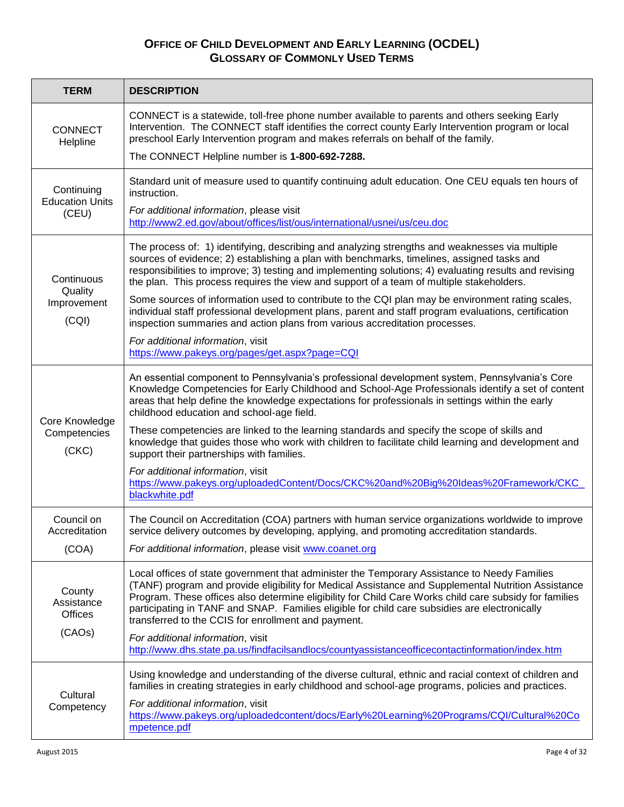| <b>TERM</b>                                      | <b>DESCRIPTION</b>                                                                                                                                                                                                                                                                                                                                                                                                                                                    |
|--------------------------------------------------|-----------------------------------------------------------------------------------------------------------------------------------------------------------------------------------------------------------------------------------------------------------------------------------------------------------------------------------------------------------------------------------------------------------------------------------------------------------------------|
| <b>CONNECT</b><br>Helpline                       | CONNECT is a statewide, toll-free phone number available to parents and others seeking Early<br>Intervention. The CONNECT staff identifies the correct county Early Intervention program or local<br>preschool Early Intervention program and makes referrals on behalf of the family.<br>The CONNECT Helpline number is 1-800-692-7288.                                                                                                                              |
|                                                  |                                                                                                                                                                                                                                                                                                                                                                                                                                                                       |
| Continuing<br><b>Education Units</b><br>(CEU)    | Standard unit of measure used to quantify continuing adult education. One CEU equals ten hours of<br>instruction.                                                                                                                                                                                                                                                                                                                                                     |
|                                                  | For additional information, please visit<br>http://www2.ed.gov/about/offices/list/ous/international/usnei/us/ceu.doc                                                                                                                                                                                                                                                                                                                                                  |
| Continuous                                       | The process of: 1) identifying, describing and analyzing strengths and weaknesses via multiple<br>sources of evidence; 2) establishing a plan with benchmarks, timelines, assigned tasks and<br>responsibilities to improve; 3) testing and implementing solutions; 4) evaluating results and revising<br>the plan. This process requires the view and support of a team of multiple stakeholders.                                                                    |
| Quality<br>Improvement<br>(CQI)                  | Some sources of information used to contribute to the CQI plan may be environment rating scales,<br>individual staff professional development plans, parent and staff program evaluations, certification<br>inspection summaries and action plans from various accreditation processes.                                                                                                                                                                               |
|                                                  | For additional information, visit<br>https://www.pakeys.org/pages/get.aspx?page=CQI                                                                                                                                                                                                                                                                                                                                                                                   |
|                                                  | An essential component to Pennsylvania's professional development system, Pennsylvania's Core<br>Knowledge Competencies for Early Childhood and School-Age Professionals identify a set of content<br>areas that help define the knowledge expectations for professionals in settings within the early<br>childhood education and school-age field.                                                                                                                   |
| Core Knowledge<br>Competencies<br>(CKC)          | These competencies are linked to the learning standards and specify the scope of skills and<br>knowledge that guides those who work with children to facilitate child learning and development and<br>support their partnerships with families.                                                                                                                                                                                                                       |
|                                                  | For additional information, visit<br>https://www.pakeys.org/uploadedContent/Docs/CKC%20and%20Big%20Ideas%20Framework/CKC<br>blackwhite.pdf                                                                                                                                                                                                                                                                                                                            |
| Council on<br>Accreditation                      | The Council on Accreditation (COA) partners with human service organizations worldwide to improve<br>service delivery outcomes by developing, applying, and promoting accreditation standards.                                                                                                                                                                                                                                                                        |
| (COA)                                            | For additional information, please visit www.coanet.org                                                                                                                                                                                                                                                                                                                                                                                                               |
| County<br>Assistance<br><b>Offices</b><br>(CAOs) | Local offices of state government that administer the Temporary Assistance to Needy Families<br>(TANF) program and provide eligibility for Medical Assistance and Supplemental Nutrition Assistance<br>Program. These offices also determine eligibility for Child Care Works child care subsidy for families<br>participating in TANF and SNAP. Families eligible for child care subsidies are electronically<br>transferred to the CCIS for enrollment and payment. |
|                                                  | For additional information, visit<br>http://www.dhs.state.pa.us/findfacilsandlocs/countyassistanceofficecontactinformation/index.htm                                                                                                                                                                                                                                                                                                                                  |
| Cultural<br>Competency                           | Using knowledge and understanding of the diverse cultural, ethnic and racial context of children and<br>families in creating strategies in early childhood and school-age programs, policies and practices.                                                                                                                                                                                                                                                           |
|                                                  | For additional information, visit<br>https://www.pakeys.org/uploadedcontent/docs/Early%20Learning%20Programs/CQI/Cultural%20Co<br>mpetence.pdf                                                                                                                                                                                                                                                                                                                        |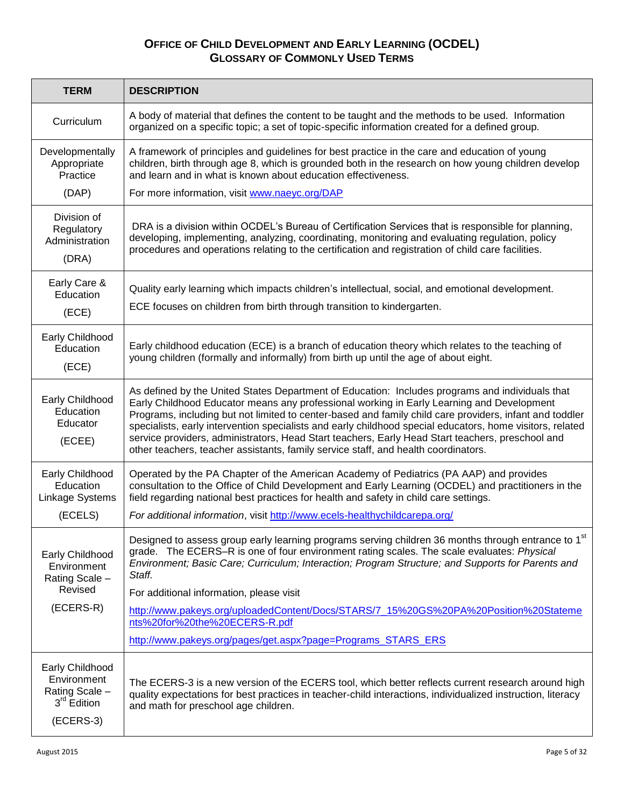| <b>TERM</b>                                                                                | <b>DESCRIPTION</b>                                                                                                                                                                                                                                                                                                                                                                                                                                                                                                                                                                                             |
|--------------------------------------------------------------------------------------------|----------------------------------------------------------------------------------------------------------------------------------------------------------------------------------------------------------------------------------------------------------------------------------------------------------------------------------------------------------------------------------------------------------------------------------------------------------------------------------------------------------------------------------------------------------------------------------------------------------------|
| Curriculum                                                                                 | A body of material that defines the content to be taught and the methods to be used. Information<br>organized on a specific topic; a set of topic-specific information created for a defined group.                                                                                                                                                                                                                                                                                                                                                                                                            |
| Developmentally<br>Appropriate<br>Practice                                                 | A framework of principles and guidelines for best practice in the care and education of young<br>children, birth through age 8, which is grounded both in the research on how young children develop<br>and learn and in what is known about education effectiveness.                                                                                                                                                                                                                                                                                                                                          |
| (DAP)                                                                                      | For more information, visit www.naeyc.org/DAP                                                                                                                                                                                                                                                                                                                                                                                                                                                                                                                                                                  |
| Division of<br>Regulatory<br>Administration<br>(DRA)                                       | DRA is a division within OCDEL's Bureau of Certification Services that is responsible for planning,<br>developing, implementing, analyzing, coordinating, monitoring and evaluating regulation, policy<br>procedures and operations relating to the certification and registration of child care facilities.                                                                                                                                                                                                                                                                                                   |
| Early Care &<br>Education<br>(ECE)                                                         | Quality early learning which impacts children's intellectual, social, and emotional development.<br>ECE focuses on children from birth through transition to kindergarten.                                                                                                                                                                                                                                                                                                                                                                                                                                     |
| Early Childhood<br>Education<br>(ECE)                                                      | Early childhood education (ECE) is a branch of education theory which relates to the teaching of<br>young children (formally and informally) from birth up until the age of about eight.                                                                                                                                                                                                                                                                                                                                                                                                                       |
| Early Childhood<br>Education<br>Educator<br>(ECEE)                                         | As defined by the United States Department of Education: Includes programs and individuals that<br>Early Childhood Educator means any professional working in Early Learning and Development<br>Programs, including but not limited to center-based and family child care providers, infant and toddler<br>specialists, early intervention specialists and early childhood special educators, home visitors, related<br>service providers, administrators, Head Start teachers, Early Head Start teachers, preschool and<br>other teachers, teacher assistants, family service staff, and health coordinators. |
| Early Childhood<br>Education<br>Linkage Systems<br>(ECELS)                                 | Operated by the PA Chapter of the American Academy of Pediatrics (PA AAP) and provides<br>consultation to the Office of Child Development and Early Learning (OCDEL) and practitioners in the<br>field regarding national best practices for health and safety in child care settings.<br>For additional information, visit http://www.ecels-healthychildcarepa.org/                                                                                                                                                                                                                                           |
| Early Childhood<br>Environment<br>Rating Scale -<br>Revised<br>(ECERS-R)                   | Designed to assess group early learning programs serving children 36 months through entrance to 1 <sup>st</sup><br>grade. The ECERS-R is one of four environment rating scales. The scale evaluates: Physical<br>Environment; Basic Care; Curriculum; Interaction; Program Structure; and Supports for Parents and<br>Staff.<br>For additional information, please visit<br>http://www.pakeys.org/uploadedContent/Docs/STARS/7 15%20GS%20PA%20Position%20Stateme<br>nts%20for%20the%20ECERS-R.pdf<br>http://www.pakeys.org/pages/get.aspx?page=Programs_STARS_ERS                                              |
| Early Childhood<br>Environment<br>Rating Scale -<br>3 <sup>rd</sup> Edition<br>$(ECERS-3)$ | The ECERS-3 is a new version of the ECERS tool, which better reflects current research around high<br>quality expectations for best practices in teacher-child interactions, individualized instruction, literacy<br>and math for preschool age children.                                                                                                                                                                                                                                                                                                                                                      |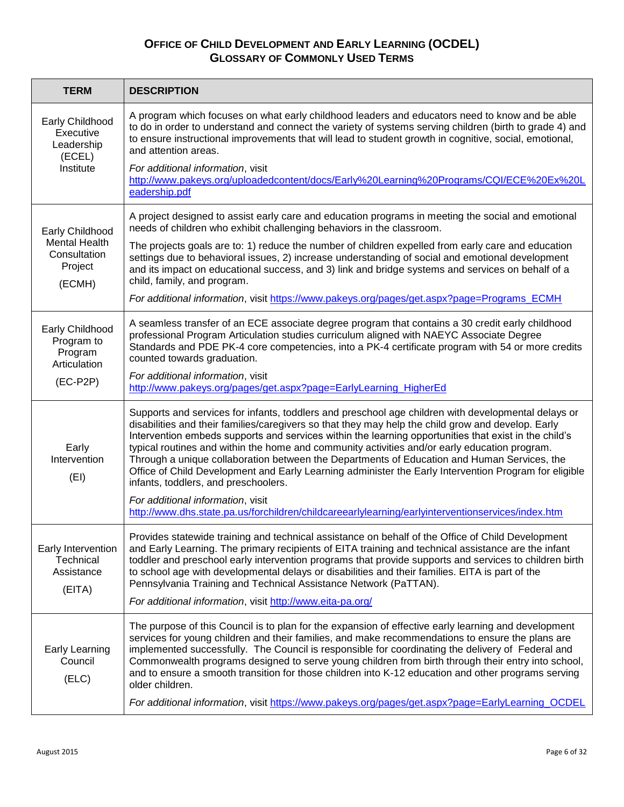| <b>TERM</b>                                                       | <b>DESCRIPTION</b>                                                                                                                                                                                                                                                                                                                                                                                                                                                                                                                                                                                                                                                  |
|-------------------------------------------------------------------|---------------------------------------------------------------------------------------------------------------------------------------------------------------------------------------------------------------------------------------------------------------------------------------------------------------------------------------------------------------------------------------------------------------------------------------------------------------------------------------------------------------------------------------------------------------------------------------------------------------------------------------------------------------------|
| Early Childhood<br>Executive<br>Leadership<br>(ECEL)<br>Institute | A program which focuses on what early childhood leaders and educators need to know and be able<br>to do in order to understand and connect the variety of systems serving children (birth to grade 4) and<br>to ensure instructional improvements that will lead to student growth in cognitive, social, emotional,<br>and attention areas.<br>For additional information, visit<br>http://www.pakeys.org/uploadedcontent/docs/Early%20Learning%20Programs/CQI/ECE%20Ex%20L                                                                                                                                                                                         |
|                                                                   | eadership.pdf                                                                                                                                                                                                                                                                                                                                                                                                                                                                                                                                                                                                                                                       |
| Early Childhood                                                   | A project designed to assist early care and education programs in meeting the social and emotional<br>needs of children who exhibit challenging behaviors in the classroom.                                                                                                                                                                                                                                                                                                                                                                                                                                                                                         |
| <b>Mental Health</b><br>Consultation<br>Project<br>(ECMH)         | The projects goals are to: 1) reduce the number of children expelled from early care and education<br>settings due to behavioral issues, 2) increase understanding of social and emotional development<br>and its impact on educational success, and 3) link and bridge systems and services on behalf of a<br>child, family, and program.                                                                                                                                                                                                                                                                                                                          |
|                                                                   | For additional information, visit https://www.pakeys.org/pages/get.aspx?page=Programs_ECMH                                                                                                                                                                                                                                                                                                                                                                                                                                                                                                                                                                          |
| Early Childhood<br>Program to<br>Program<br>Articulation          | A seamless transfer of an ECE associate degree program that contains a 30 credit early childhood<br>professional Program Articulation studies curriculum aligned with NAEYC Associate Degree<br>Standards and PDE PK-4 core competencies, into a PK-4 certificate program with 54 or more credits<br>counted towards graduation.                                                                                                                                                                                                                                                                                                                                    |
| $(EC-P2P)$                                                        | For additional information, visit<br>http://www.pakeys.org/pages/get.aspx?page=EarlyLearning_HigherEd                                                                                                                                                                                                                                                                                                                                                                                                                                                                                                                                                               |
| Early<br>Intervention<br>(EI)                                     | Supports and services for infants, toddlers and preschool age children with developmental delays or<br>disabilities and their families/caregivers so that they may help the child grow and develop. Early<br>Intervention embeds supports and services within the learning opportunities that exist in the child's<br>typical routines and within the home and community activities and/or early education program.<br>Through a unique collaboration between the Departments of Education and Human Services, the<br>Office of Child Development and Early Learning administer the Early Intervention Program for eligible<br>infants, toddlers, and preschoolers. |
|                                                                   | For additional information, visit<br>http://www.dhs.state.pa.us/forchildren/childcareearlylearning/earlyinterventionservices/index.htm                                                                                                                                                                                                                                                                                                                                                                                                                                                                                                                              |
| Early Intervention<br>Technical<br>Assistance<br>(EITA)           | Provides statewide training and technical assistance on behalf of the Office of Child Development<br>and Early Learning. The primary recipients of EITA training and technical assistance are the infant<br>toddler and preschool early intervention programs that provide supports and services to children birth<br>to school age with developmental delays or disabilities and their families. EITA is part of the<br>Pennsylvania Training and Technical Assistance Network (PaTTAN).<br>For additional information, visit http://www.eita-pa.org/                                                                                                              |
|                                                                   | The purpose of this Council is to plan for the expansion of effective early learning and development                                                                                                                                                                                                                                                                                                                                                                                                                                                                                                                                                                |
| <b>Early Learning</b><br>Council<br>(ELC)                         | services for young children and their families, and make recommendations to ensure the plans are<br>implemented successfully. The Council is responsible for coordinating the delivery of Federal and<br>Commonwealth programs designed to serve young children from birth through their entry into school,<br>and to ensure a smooth transition for those children into K-12 education and other programs serving<br>older children.                                                                                                                                                                                                                               |
|                                                                   | For additional information, visit https://www.pakeys.org/pages/get.aspx?page=EarlyLearning_OCDEL                                                                                                                                                                                                                                                                                                                                                                                                                                                                                                                                                                    |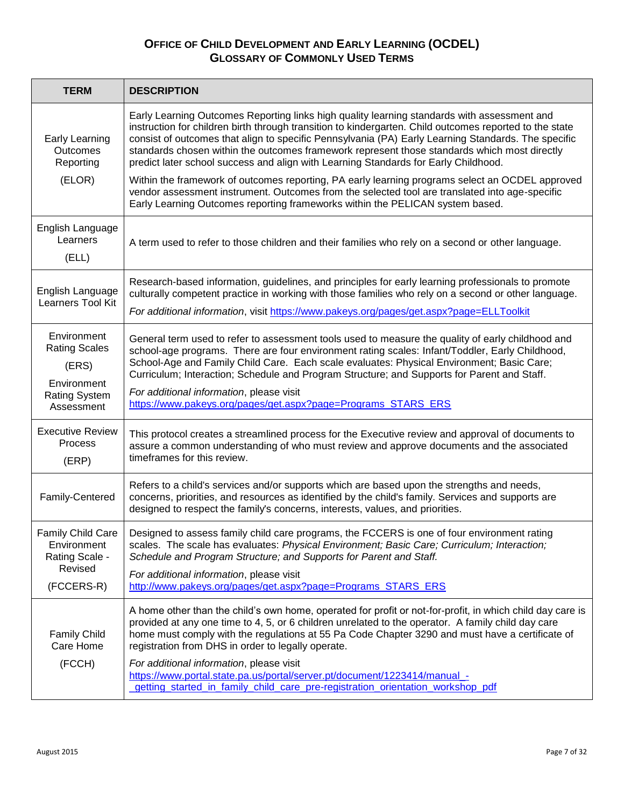| <b>TERM</b>                                                                                       | <b>DESCRIPTION</b>                                                                                                                                                                                                                                                                                                                                                                                                                                                                                            |
|---------------------------------------------------------------------------------------------------|---------------------------------------------------------------------------------------------------------------------------------------------------------------------------------------------------------------------------------------------------------------------------------------------------------------------------------------------------------------------------------------------------------------------------------------------------------------------------------------------------------------|
| <b>Early Learning</b><br>Outcomes<br>Reporting<br>(ELOR)                                          | Early Learning Outcomes Reporting links high quality learning standards with assessment and<br>instruction for children birth through transition to kindergarten. Child outcomes reported to the state<br>consist of outcomes that align to specific Pennsylvania (PA) Early Learning Standards. The specific<br>standards chosen within the outcomes framework represent those standards which most directly<br>predict later school success and align with Learning Standards for Early Childhood.          |
|                                                                                                   | Within the framework of outcomes reporting, PA early learning programs select an OCDEL approved<br>vendor assessment instrument. Outcomes from the selected tool are translated into age-specific<br>Early Learning Outcomes reporting frameworks within the PELICAN system based.                                                                                                                                                                                                                            |
| English Language<br>Learners<br>(ELL)                                                             | A term used to refer to those children and their families who rely on a second or other language.                                                                                                                                                                                                                                                                                                                                                                                                             |
| English Language<br>Learners Tool Kit                                                             | Research-based information, guidelines, and principles for early learning professionals to promote<br>culturally competent practice in working with those families who rely on a second or other language.<br>For additional information, visit https://www.pakeys.org/pages/get.aspx?page=ELLToolkit                                                                                                                                                                                                         |
| Environment<br><b>Rating Scales</b><br>(ERS)<br>Environment<br><b>Rating System</b><br>Assessment | General term used to refer to assessment tools used to measure the quality of early childhood and<br>school-age programs. There are four environment rating scales: Infant/Toddler, Early Childhood,<br>School-Age and Family Child Care. Each scale evaluates: Physical Environment; Basic Care;<br>Curriculum; Interaction; Schedule and Program Structure; and Supports for Parent and Staff.<br>For additional information, please visit<br>https://www.pakeys.org/pages/get.aspx?page=Programs_STARS_ERS |
| <b>Executive Review</b><br><b>Process</b><br>(ERP)                                                | This protocol creates a streamlined process for the Executive review and approval of documents to<br>assure a common understanding of who must review and approve documents and the associated<br>timeframes for this review.                                                                                                                                                                                                                                                                                 |
| Family-Centered                                                                                   | Refers to a child's services and/or supports which are based upon the strengths and needs,<br>concerns, priorities, and resources as identified by the child's family. Services and supports are<br>designed to respect the family's concerns, interests, values, and priorities.                                                                                                                                                                                                                             |
| <b>Family Child Care</b><br>Environment<br>Rating Scale -<br>Revised<br>(FCCERS-R)                | Designed to assess family child care programs, the FCCERS is one of four environment rating<br>scales. The scale has evaluates: Physical Environment; Basic Care; Curriculum; Interaction;<br>Schedule and Program Structure; and Supports for Parent and Staff.<br>For additional information, please visit<br>http://www.pakeys.org/pages/get.aspx?page=Programs STARS ERS                                                                                                                                  |
| <b>Family Child</b><br>Care Home<br>(FCCH)                                                        | A home other than the child's own home, operated for profit or not-for-profit, in which child day care is<br>provided at any one time to 4, 5, or 6 children unrelated to the operator. A family child day care<br>home must comply with the regulations at 55 Pa Code Chapter 3290 and must have a certificate of<br>registration from DHS in order to legally operate.<br>For additional information, please visit                                                                                          |
|                                                                                                   | https://www.portal.state.pa.us/portal/server.pt/document/1223414/manual_-<br>getting started in family child care pre-registration orientation workshop pdf                                                                                                                                                                                                                                                                                                                                                   |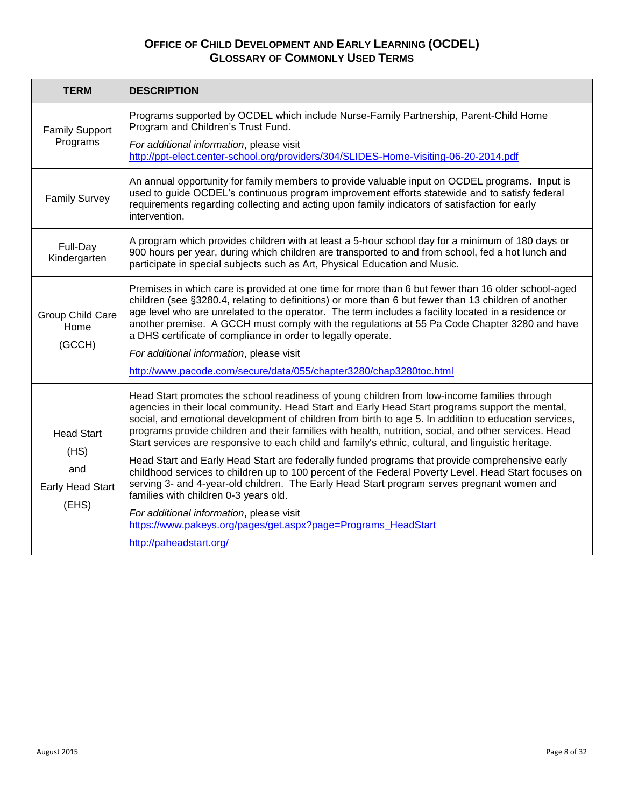| <b>TERM</b>                                                          | <b>DESCRIPTION</b>                                                                                                                                                                                                                                                                                                                                                                                                                                                                                                                                                                                  |
|----------------------------------------------------------------------|-----------------------------------------------------------------------------------------------------------------------------------------------------------------------------------------------------------------------------------------------------------------------------------------------------------------------------------------------------------------------------------------------------------------------------------------------------------------------------------------------------------------------------------------------------------------------------------------------------|
| <b>Family Support</b><br>Programs                                    | Programs supported by OCDEL which include Nurse-Family Partnership, Parent-Child Home<br>Program and Children's Trust Fund.<br>For additional information, please visit<br>http://ppt-elect.center-school.org/providers/304/SLIDES-Home-Visiting-06-20-2014.pdf                                                                                                                                                                                                                                                                                                                                     |
| <b>Family Survey</b>                                                 | An annual opportunity for family members to provide valuable input on OCDEL programs. Input is<br>used to guide OCDEL's continuous program improvement efforts statewide and to satisfy federal<br>requirements regarding collecting and acting upon family indicators of satisfaction for early<br>intervention.                                                                                                                                                                                                                                                                                   |
| Full-Day<br>Kindergarten                                             | A program which provides children with at least a 5-hour school day for a minimum of 180 days or<br>900 hours per year, during which children are transported to and from school, fed a hot lunch and<br>participate in special subjects such as Art, Physical Education and Music.                                                                                                                                                                                                                                                                                                                 |
| Group Child Care<br>Home<br>(GCCH)                                   | Premises in which care is provided at one time for more than 6 but fewer than 16 older school-aged<br>children (see §3280.4, relating to definitions) or more than 6 but fewer than 13 children of another<br>age level who are unrelated to the operator. The term includes a facility located in a residence or<br>another premise. A GCCH must comply with the regulations at 55 Pa Code Chapter 3280 and have<br>a DHS certificate of compliance in order to legally operate.<br>For additional information, please visit<br>http://www.pacode.com/secure/data/055/chapter3280/chap3280toc.html |
| <b>Head Start</b><br>(HS)<br>and<br><b>Early Head Start</b><br>(EHS) | Head Start promotes the school readiness of young children from low-income families through<br>agencies in their local community. Head Start and Early Head Start programs support the mental,<br>social, and emotional development of children from birth to age 5. In addition to education services,<br>programs provide children and their families with health, nutrition, social, and other services. Head<br>Start services are responsive to each child and family's ethnic, cultural, and linguistic heritage.                                                                             |
|                                                                      | Head Start and Early Head Start are federally funded programs that provide comprehensive early<br>childhood services to children up to 100 percent of the Federal Poverty Level. Head Start focuses on<br>serving 3- and 4-year-old children. The Early Head Start program serves pregnant women and<br>families with children 0-3 years old.                                                                                                                                                                                                                                                       |
|                                                                      | For additional information, please visit<br>https://www.pakeys.org/pages/get.aspx?page=Programs HeadStart<br>http://paheadstart.org/                                                                                                                                                                                                                                                                                                                                                                                                                                                                |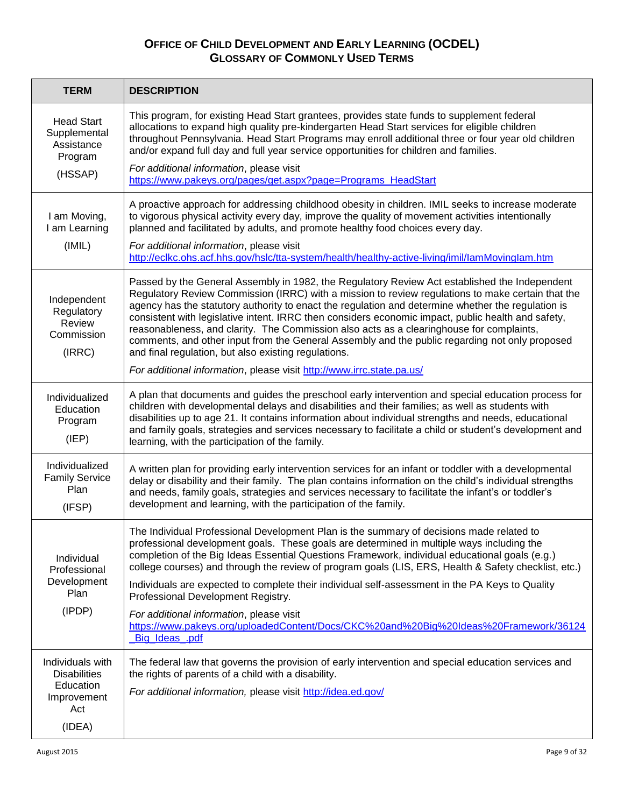| <b>TERM</b>                                                                | <b>DESCRIPTION</b>                                                                                                                                                                                                                                                                                                                                                                                                                                                                                                                                                                                                                                                   |
|----------------------------------------------------------------------------|----------------------------------------------------------------------------------------------------------------------------------------------------------------------------------------------------------------------------------------------------------------------------------------------------------------------------------------------------------------------------------------------------------------------------------------------------------------------------------------------------------------------------------------------------------------------------------------------------------------------------------------------------------------------|
| <b>Head Start</b><br>Supplemental<br>Assistance<br>Program                 | This program, for existing Head Start grantees, provides state funds to supplement federal<br>allocations to expand high quality pre-kindergarten Head Start services for eligible children<br>throughout Pennsylvania. Head Start Programs may enroll additional three or four year old children<br>and/or expand full day and full year service opportunities for children and families.                                                                                                                                                                                                                                                                           |
| (HSSAP)                                                                    | For additional information, please visit<br>https://www.pakeys.org/pages/get.aspx?page=Programs_HeadStart                                                                                                                                                                                                                                                                                                                                                                                                                                                                                                                                                            |
| I am Moving,<br>I am Learning                                              | A proactive approach for addressing childhood obesity in children. IMIL seeks to increase moderate<br>to vigorous physical activity every day, improve the quality of movement activities intentionally<br>planned and facilitated by adults, and promote healthy food choices every day.                                                                                                                                                                                                                                                                                                                                                                            |
| (IMIL)                                                                     | For additional information, please visit<br>http://eclkc.ohs.acf.hhs.gov/hslc/tta-system/health/healthy-active-living/imil/lamMovinglam.htm                                                                                                                                                                                                                                                                                                                                                                                                                                                                                                                          |
| Independent<br>Regulatory<br>Review<br>Commission<br>(IRRC)                | Passed by the General Assembly in 1982, the Regulatory Review Act established the Independent<br>Regulatory Review Commission (IRRC) with a mission to review regulations to make certain that the<br>agency has the statutory authority to enact the regulation and determine whether the regulation is<br>consistent with legislative intent. IRRC then considers economic impact, public health and safety,<br>reasonableness, and clarity. The Commission also acts as a clearinghouse for complaints,<br>comments, and other input from the General Assembly and the public regarding not only proposed<br>and final regulation, but also existing regulations. |
|                                                                            | For additional information, please visit http://www.irrc.state.pa.us/                                                                                                                                                                                                                                                                                                                                                                                                                                                                                                                                                                                                |
| Individualized<br>Education<br>Program<br>(IEP)                            | A plan that documents and guides the preschool early intervention and special education process for<br>children with developmental delays and disabilities and their families; as well as students with<br>disabilities up to age 21. It contains information about individual strengths and needs, educational<br>and family goals, strategies and services necessary to facilitate a child or student's development and<br>learning, with the participation of the family.                                                                                                                                                                                         |
| Individualized<br><b>Family Service</b><br>Plan<br>(IFSP)                  | A written plan for providing early intervention services for an infant or toddler with a developmental<br>delay or disability and their family. The plan contains information on the child's individual strengths<br>and needs, family goals, strategies and services necessary to facilitate the infant's or toddler's<br>development and learning, with the participation of the family.                                                                                                                                                                                                                                                                           |
| Individual<br>Professional<br>Development<br>Plan<br>(IPDP)                | The Individual Professional Development Plan is the summary of decisions made related to<br>professional development goals. These goals are determined in multiple ways including the<br>completion of the Big Ideas Essential Questions Framework, individual educational goals (e.g.)<br>college courses) and through the review of program goals (LIS, ERS, Health & Safety checklist, etc.)<br>Individuals are expected to complete their individual self-assessment in the PA Keys to Quality                                                                                                                                                                   |
|                                                                            | Professional Development Registry.                                                                                                                                                                                                                                                                                                                                                                                                                                                                                                                                                                                                                                   |
|                                                                            | For additional information, please visit<br>https://www.pakeys.org/uploadedContent/Docs/CKC%20and%20Big%20Ideas%20Framework/36124<br>Big_Ideas_.pdf                                                                                                                                                                                                                                                                                                                                                                                                                                                                                                                  |
| Individuals with<br><b>Disabilities</b><br>Education<br>Improvement<br>Act | The federal law that governs the provision of early intervention and special education services and<br>the rights of parents of a child with a disability.<br>For additional information, please visit http://idea.ed.gov/                                                                                                                                                                                                                                                                                                                                                                                                                                           |
| (IDEA)                                                                     |                                                                                                                                                                                                                                                                                                                                                                                                                                                                                                                                                                                                                                                                      |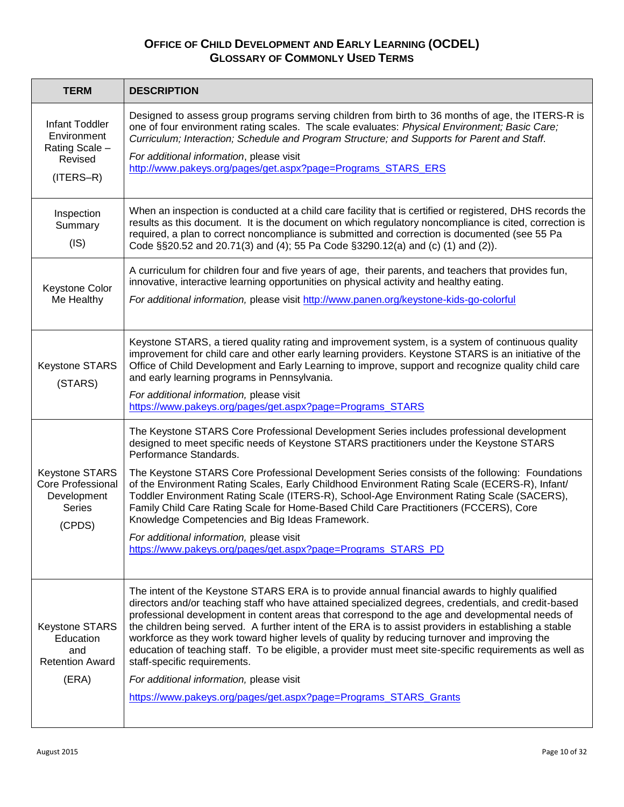| <b>TERM</b>                                                                                 | <b>DESCRIPTION</b>                                                                                                                                                                                                                                                                                                                                                                                                                                                                                                                                                                                                                                                                                                                                                              |
|---------------------------------------------------------------------------------------------|---------------------------------------------------------------------------------------------------------------------------------------------------------------------------------------------------------------------------------------------------------------------------------------------------------------------------------------------------------------------------------------------------------------------------------------------------------------------------------------------------------------------------------------------------------------------------------------------------------------------------------------------------------------------------------------------------------------------------------------------------------------------------------|
| <b>Infant Toddler</b><br>Environment<br>Rating Scale -<br>Revised<br>$(ITERS-R)$            | Designed to assess group programs serving children from birth to 36 months of age, the ITERS-R is<br>one of four environment rating scales. The scale evaluates: Physical Environment; Basic Care;<br>Curriculum; Interaction; Schedule and Program Structure; and Supports for Parent and Staff.<br>For additional information, please visit<br>http://www.pakeys.org/pages/get.aspx?page=Programs_STARS_ERS                                                                                                                                                                                                                                                                                                                                                                   |
| Inspection<br>Summary<br>(IS)                                                               | When an inspection is conducted at a child care facility that is certified or registered, DHS records the<br>results as this document. It is the document on which regulatory noncompliance is cited, correction is<br>required, a plan to correct noncompliance is submitted and correction is documented (see 55 Pa<br>Code §§20.52 and 20.71(3) and (4); 55 Pa Code §3290.12(a) and (c) (1) and (2)).                                                                                                                                                                                                                                                                                                                                                                        |
| Keystone Color<br>Me Healthy                                                                | A curriculum for children four and five years of age, their parents, and teachers that provides fun,<br>innovative, interactive learning opportunities on physical activity and healthy eating.<br>For additional information, please visit http://www.panen.org/keystone-kids-go-colorful                                                                                                                                                                                                                                                                                                                                                                                                                                                                                      |
| <b>Keystone STARS</b><br>(STARS)                                                            | Keystone STARS, a tiered quality rating and improvement system, is a system of continuous quality<br>improvement for child care and other early learning providers. Keystone STARS is an initiative of the<br>Office of Child Development and Early Learning to improve, support and recognize quality child care<br>and early learning programs in Pennsylvania.<br>For additional information, please visit<br>https://www.pakeys.org/pages/get.aspx?page=Programs_STARS                                                                                                                                                                                                                                                                                                      |
| <b>Keystone STARS</b><br><b>Core Professional</b><br>Development<br><b>Series</b><br>(CPDS) | The Keystone STARS Core Professional Development Series includes professional development<br>designed to meet specific needs of Keystone STARS practitioners under the Keystone STARS<br>Performance Standards.<br>The Keystone STARS Core Professional Development Series consists of the following: Foundations<br>of the Environment Rating Scales, Early Childhood Environment Rating Scale (ECERS-R), Infant/<br>Toddler Environment Rating Scale (ITERS-R), School-Age Environment Rating Scale (SACERS),<br>Family Child Care Rating Scale for Home-Based Child Care Practitioners (FCCERS), Core<br>Knowledge Competencies and Big Ideas Framework.<br>For additional information, please visit<br>https://www.pakeys.org/pages/get.aspx?page=Programs_STARS_PD         |
| <b>Keystone STARS</b><br>Education<br>and<br><b>Retention Award</b><br>(ERA)                | The intent of the Keystone STARS ERA is to provide annual financial awards to highly qualified<br>directors and/or teaching staff who have attained specialized degrees, credentials, and credit-based<br>professional development in content areas that correspond to the age and developmental needs of<br>the children being served. A further intent of the ERA is to assist providers in establishing a stable<br>workforce as they work toward higher levels of quality by reducing turnover and improving the<br>education of teaching staff. To be eligible, a provider must meet site-specific requirements as well as<br>staff-specific requirements.<br>For additional information, please visit<br>https://www.pakeys.org/pages/get.aspx?page=Programs_STARS_Grants |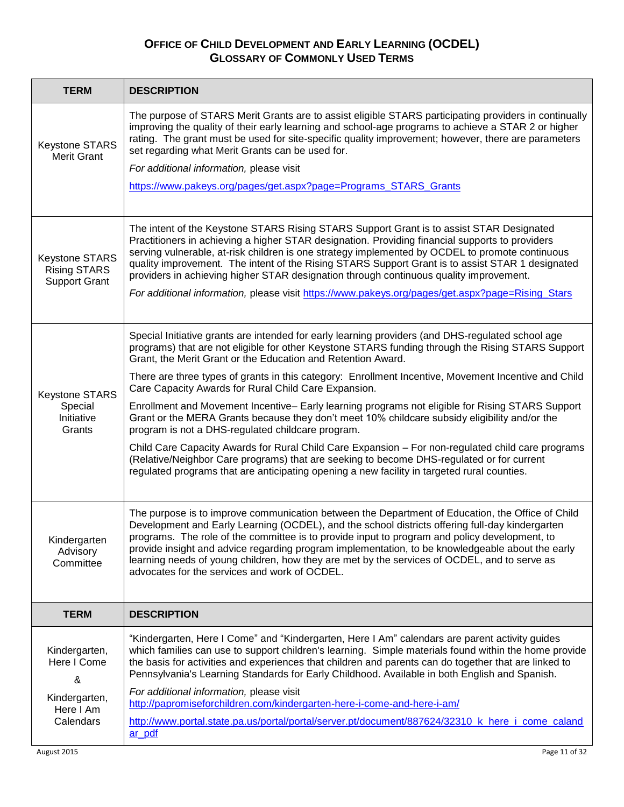| <b>TERM</b>                                                          | <b>DESCRIPTION</b>                                                                                                                                                                                                                                                                                                                                                                                                                                                                                                                                                                               |
|----------------------------------------------------------------------|--------------------------------------------------------------------------------------------------------------------------------------------------------------------------------------------------------------------------------------------------------------------------------------------------------------------------------------------------------------------------------------------------------------------------------------------------------------------------------------------------------------------------------------------------------------------------------------------------|
| Keystone STARS<br><b>Merit Grant</b>                                 | The purpose of STARS Merit Grants are to assist eligible STARS participating providers in continually<br>improving the quality of their early learning and school-age programs to achieve a STAR 2 or higher<br>rating. The grant must be used for site-specific quality improvement; however, there are parameters<br>set regarding what Merit Grants can be used for.                                                                                                                                                                                                                          |
|                                                                      | For additional information, please visit                                                                                                                                                                                                                                                                                                                                                                                                                                                                                                                                                         |
|                                                                      | https://www.pakeys.org/pages/get.aspx?page=Programs_STARS_Grants                                                                                                                                                                                                                                                                                                                                                                                                                                                                                                                                 |
| <b>Keystone STARS</b><br><b>Rising STARS</b><br><b>Support Grant</b> | The intent of the Keystone STARS Rising STARS Support Grant is to assist STAR Designated<br>Practitioners in achieving a higher STAR designation. Providing financial supports to providers<br>serving vulnerable, at-risk children is one strategy implemented by OCDEL to promote continuous<br>quality improvement. The intent of the Rising STARS Support Grant is to assist STAR 1 designated<br>providers in achieving higher STAR designation through continuous quality improvement.<br>For additional information, please visit https://www.pakeys.org/pages/get.aspx?page=Rising_Stars |
|                                                                      |                                                                                                                                                                                                                                                                                                                                                                                                                                                                                                                                                                                                  |
|                                                                      | Special Initiative grants are intended for early learning providers (and DHS-regulated school age<br>programs) that are not eligible for other Keystone STARS funding through the Rising STARS Support<br>Grant, the Merit Grant or the Education and Retention Award.                                                                                                                                                                                                                                                                                                                           |
| <b>Keystone STARS</b>                                                | There are three types of grants in this category: Enrollment Incentive, Movement Incentive and Child<br>Care Capacity Awards for Rural Child Care Expansion.                                                                                                                                                                                                                                                                                                                                                                                                                                     |
| Special<br>Initiative<br>Grants                                      | Enrollment and Movement Incentive- Early learning programs not eligible for Rising STARS Support<br>Grant or the MERA Grants because they don't meet 10% childcare subsidy eligibility and/or the<br>program is not a DHS-regulated childcare program.                                                                                                                                                                                                                                                                                                                                           |
|                                                                      | Child Care Capacity Awards for Rural Child Care Expansion - For non-regulated child care programs<br>(Relative/Neighbor Care programs) that are seeking to become DHS-regulated or for current<br>regulated programs that are anticipating opening a new facility in targeted rural counties.                                                                                                                                                                                                                                                                                                    |
| Kindergarten<br>Advisory<br>Committee                                | The purpose is to improve communication between the Department of Education, the Office of Child<br>Development and Early Learning (OCDEL), and the school districts offering full-day kindergarten<br>programs. The role of the committee is to provide input to program and policy development, to<br>provide insight and advice regarding program implementation, to be knowledgeable about the early<br>learning needs of young children, how they are met by the services of OCDEL, and to serve as<br>advocates for the services and work of OCDEL.                                        |
| <b>TERM</b>                                                          | <b>DESCRIPTION</b>                                                                                                                                                                                                                                                                                                                                                                                                                                                                                                                                                                               |
| Kindergarten,<br>Here I Come<br>&                                    | "Kindergarten, Here I Come" and "Kindergarten, Here I Am" calendars are parent activity guides<br>which families can use to support children's learning. Simple materials found within the home provide<br>the basis for activities and experiences that children and parents can do together that are linked to<br>Pennsylvania's Learning Standards for Early Childhood. Available in both English and Spanish.                                                                                                                                                                                |
| Kindergarten,                                                        | For additional information, please visit<br>http://papromiseforchildren.com/kindergarten-here-i-come-and-here-i-am/                                                                                                                                                                                                                                                                                                                                                                                                                                                                              |
| Here I Am<br>Calendars                                               | http://www.portal.state.pa.us/portal/portal/server.pt/document/887624/32310_k_here_i_come_caland<br>ar pdf                                                                                                                                                                                                                                                                                                                                                                                                                                                                                       |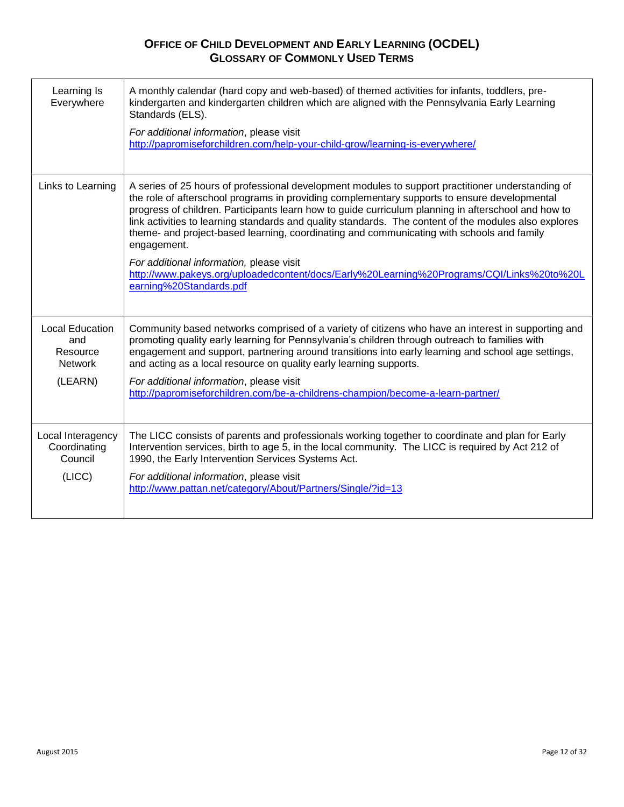| Learning Is<br>Everywhere                                              | A monthly calendar (hard copy and web-based) of themed activities for infants, toddlers, pre-<br>kindergarten and kindergarten children which are aligned with the Pennsylvania Early Learning<br>Standards (ELS).<br>For additional information, please visit<br>http://papromiseforchildren.com/help-your-child-grow/learning-is-everywhere/                                                                                                                                                                                                                                                                                                                                                    |
|------------------------------------------------------------------------|---------------------------------------------------------------------------------------------------------------------------------------------------------------------------------------------------------------------------------------------------------------------------------------------------------------------------------------------------------------------------------------------------------------------------------------------------------------------------------------------------------------------------------------------------------------------------------------------------------------------------------------------------------------------------------------------------|
| Links to Learning                                                      | A series of 25 hours of professional development modules to support practitioner understanding of<br>the role of afterschool programs in providing complementary supports to ensure developmental<br>progress of children. Participants learn how to guide curriculum planning in afterschool and how to<br>link activities to learning standards and quality standards. The content of the modules also explores<br>theme- and project-based learning, coordinating and communicating with schools and family<br>engagement.<br>For additional information, please visit<br>http://www.pakeys.org/uploadedcontent/docs/Early%20Learning%20Programs/CQI/Links%20to%20L<br>earning%20Standards.pdf |
| <b>Local Education</b><br>and<br>Resource<br><b>Network</b><br>(LEARN) | Community based networks comprised of a variety of citizens who have an interest in supporting and<br>promoting quality early learning for Pennsylvania's children through outreach to families with<br>engagement and support, partnering around transitions into early learning and school age settings,<br>and acting as a local resource on quality early learning supports.<br>For additional information, please visit<br>http://papromiseforchildren.com/be-a-childrens-champion/become-a-learn-partner/                                                                                                                                                                                   |
| Local Interagency<br>Coordinating<br>Council<br>(LICC)                 | The LICC consists of parents and professionals working together to coordinate and plan for Early<br>Intervention services, birth to age 5, in the local community. The LICC is required by Act 212 of<br>1990, the Early Intervention Services Systems Act.<br>For additional information, please visit<br>http://www.pattan.net/category/About/Partners/Single/?id=13                                                                                                                                                                                                                                                                                                                            |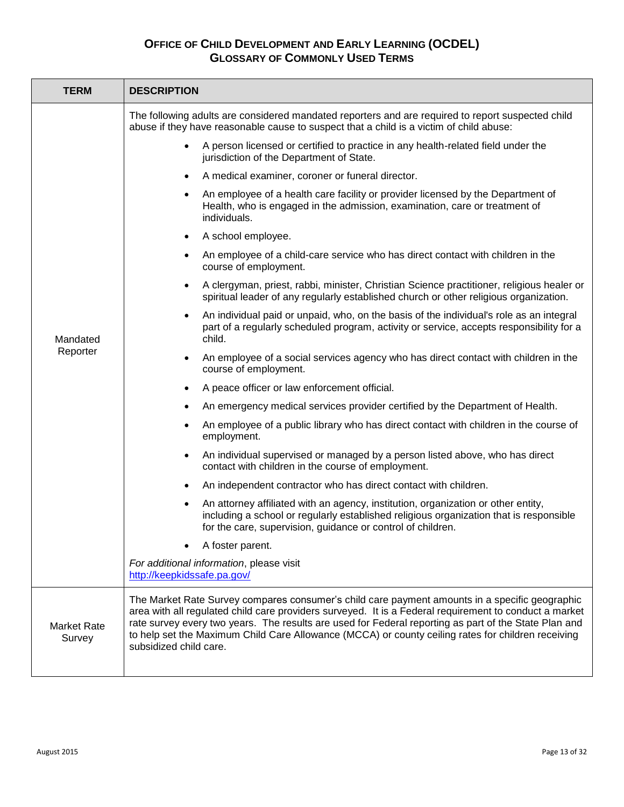| <b>TERM</b>                  | <b>DESCRIPTION</b>                                                                                                                                                                                                                                                                                                                                                                                                                                |
|------------------------------|---------------------------------------------------------------------------------------------------------------------------------------------------------------------------------------------------------------------------------------------------------------------------------------------------------------------------------------------------------------------------------------------------------------------------------------------------|
|                              | The following adults are considered mandated reporters and are required to report suspected child<br>abuse if they have reasonable cause to suspect that a child is a victim of child abuse:                                                                                                                                                                                                                                                      |
|                              | A person licensed or certified to practice in any health-related field under the<br>$\bullet$<br>jurisdiction of the Department of State.                                                                                                                                                                                                                                                                                                         |
|                              | A medical examiner, coroner or funeral director.                                                                                                                                                                                                                                                                                                                                                                                                  |
|                              | An employee of a health care facility or provider licensed by the Department of<br>Health, who is engaged in the admission, examination, care or treatment of<br>individuals.                                                                                                                                                                                                                                                                     |
|                              | A school employee.                                                                                                                                                                                                                                                                                                                                                                                                                                |
|                              | An employee of a child-care service who has direct contact with children in the<br>course of employment.                                                                                                                                                                                                                                                                                                                                          |
|                              | A clergyman, priest, rabbi, minister, Christian Science practitioner, religious healer or<br>spiritual leader of any regularly established church or other religious organization.                                                                                                                                                                                                                                                                |
| Mandated                     | An individual paid or unpaid, who, on the basis of the individual's role as an integral<br>part of a regularly scheduled program, activity or service, accepts responsibility for a<br>child.                                                                                                                                                                                                                                                     |
| Reporter                     | An employee of a social services agency who has direct contact with children in the<br>$\bullet$<br>course of employment.                                                                                                                                                                                                                                                                                                                         |
|                              | A peace officer or law enforcement official.                                                                                                                                                                                                                                                                                                                                                                                                      |
|                              | An emergency medical services provider certified by the Department of Health.                                                                                                                                                                                                                                                                                                                                                                     |
|                              | An employee of a public library who has direct contact with children in the course of<br>employment.                                                                                                                                                                                                                                                                                                                                              |
|                              | An individual supervised or managed by a person listed above, who has direct<br>$\bullet$<br>contact with children in the course of employment.                                                                                                                                                                                                                                                                                                   |
|                              | An independent contractor who has direct contact with children.                                                                                                                                                                                                                                                                                                                                                                                   |
|                              | An attorney affiliated with an agency, institution, organization or other entity,<br>$\bullet$<br>including a school or regularly established religious organization that is responsible<br>for the care, supervision, guidance or control of children.                                                                                                                                                                                           |
|                              | A foster parent.                                                                                                                                                                                                                                                                                                                                                                                                                                  |
|                              | For additional information, please visit<br>http://keepkidssafe.pa.gov/                                                                                                                                                                                                                                                                                                                                                                           |
| <b>Market Rate</b><br>Survey | The Market Rate Survey compares consumer's child care payment amounts in a specific geographic<br>area with all regulated child care providers surveyed. It is a Federal requirement to conduct a market<br>rate survey every two years. The results are used for Federal reporting as part of the State Plan and<br>to help set the Maximum Child Care Allowance (MCCA) or county ceiling rates for children receiving<br>subsidized child care. |
|                              |                                                                                                                                                                                                                                                                                                                                                                                                                                                   |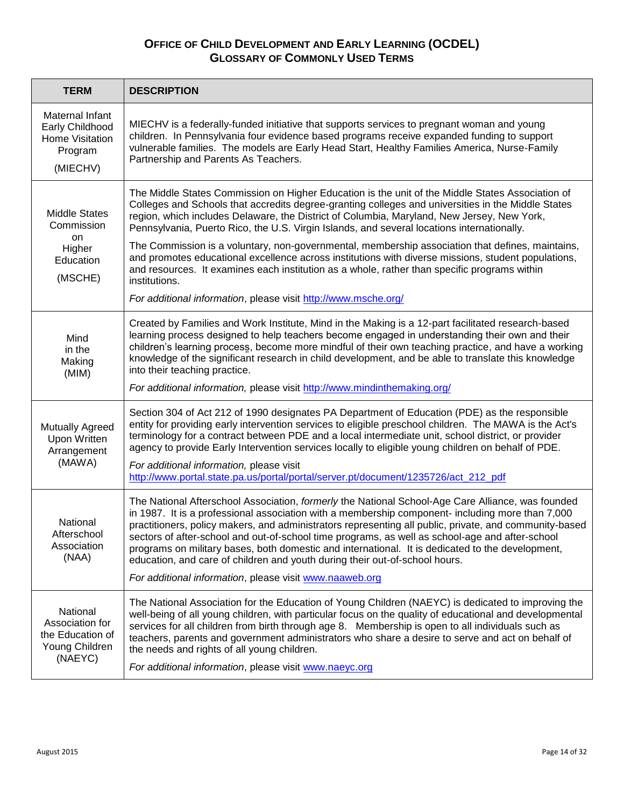| <b>TERM</b>                                                                  | <b>DESCRIPTION</b>                                                                                                                                                                                                                                                                                                                                                                                                                                                                                                                                                                                                                                               |
|------------------------------------------------------------------------------|------------------------------------------------------------------------------------------------------------------------------------------------------------------------------------------------------------------------------------------------------------------------------------------------------------------------------------------------------------------------------------------------------------------------------------------------------------------------------------------------------------------------------------------------------------------------------------------------------------------------------------------------------------------|
| Maternal Infant<br>Early Childhood<br>Home Visitation<br>Program<br>(MIECHV) | MIECHV is a federally-funded initiative that supports services to pregnant woman and young<br>children. In Pennsylvania four evidence based programs receive expanded funding to support<br>vulnerable families. The models are Early Head Start, Healthy Families America, Nurse-Family<br>Partnership and Parents As Teachers.                                                                                                                                                                                                                                                                                                                                 |
| <b>Middle States</b><br>Commission<br>on<br>Higher<br>Education<br>(MSCHE)   | The Middle States Commission on Higher Education is the unit of the Middle States Association of<br>Colleges and Schools that accredits degree-granting colleges and universities in the Middle States<br>region, which includes Delaware, the District of Columbia, Maryland, New Jersey, New York,<br>Pennsylvania, Puerto Rico, the U.S. Virgin Islands, and several locations internationally.                                                                                                                                                                                                                                                               |
|                                                                              | The Commission is a voluntary, non-governmental, membership association that defines, maintains,<br>and promotes educational excellence across institutions with diverse missions, student populations,<br>and resources. It examines each institution as a whole, rather than specific programs within<br>institutions.                                                                                                                                                                                                                                                                                                                                         |
|                                                                              | For additional information, please visit http://www.msche.org/                                                                                                                                                                                                                                                                                                                                                                                                                                                                                                                                                                                                   |
| Mind<br>in the<br>Making<br>(MIM)                                            | Created by Families and Work Institute, Mind in the Making is a 12-part facilitated research-based<br>learning process designed to help teachers become engaged in understanding their own and their<br>children's learning process, become more mindful of their own teaching practice, and have a working<br>knowledge of the significant research in child development, and be able to translate this knowledge<br>into their teaching practice.<br>For additional information, please visit http://www.mindinthemaking.org/                                                                                                                                  |
| <b>Mutually Agreed</b><br><b>Upon Written</b><br>Arrangement<br>(MAWA)       | Section 304 of Act 212 of 1990 designates PA Department of Education (PDE) as the responsible<br>entity for providing early intervention services to eligible preschool children. The MAWA is the Act's<br>terminology for a contract between PDE and a local intermediate unit, school district, or provider<br>agency to provide Early Intervention services locally to eligible young children on behalf of PDE.<br>For additional information, please visit<br>http://www.portal.state.pa.us/portal/portal/server.pt/document/1235726/act_212_pdf                                                                                                            |
| National<br>Afterschool<br>Association<br>(NAA)                              | The National Afterschool Association, formerly the National School-Age Care Alliance, was founded<br>in 1987. It is a professional association with a membership component- including more than 7,000<br>practitioners, policy makers, and administrators representing all public, private, and community-based<br>sectors of after-school and out-of-school time programs, as well as school-age and after-school<br>programs on military bases, both domestic and international. It is dedicated to the development,<br>education, and care of children and youth during their out-of-school hours.<br>For additional information, please visit www.naaweb.org |
| National<br>Association for<br>the Education of<br>Young Children<br>(NAEYC) | The National Association for the Education of Young Children (NAEYC) is dedicated to improving the<br>well-being of all young children, with particular focus on the quality of educational and developmental<br>services for all children from birth through age 8. Membership is open to all individuals such as<br>teachers, parents and government administrators who share a desire to serve and act on behalf of<br>the needs and rights of all young children.<br>For additional information, please visit www.naeyc.org                                                                                                                                  |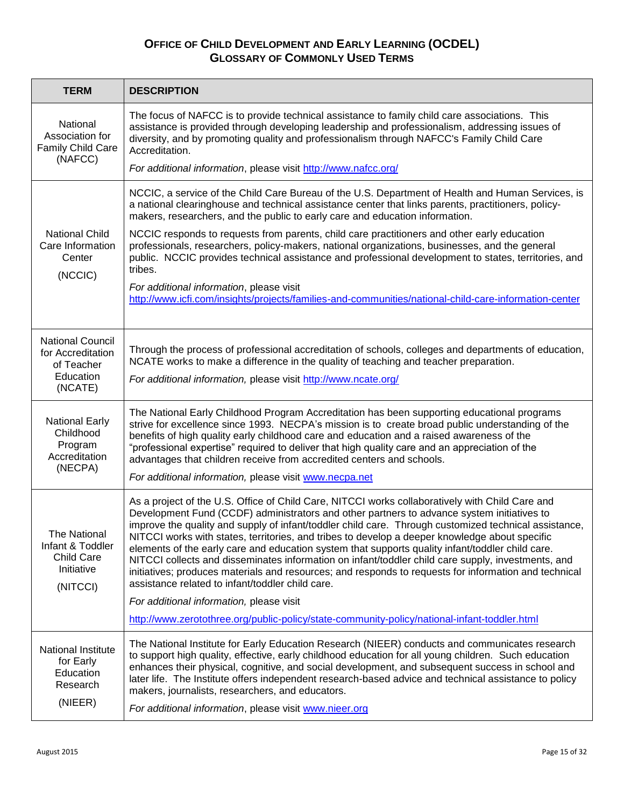| <b>TERM</b>                                                                        | <b>DESCRIPTION</b>                                                                                                                                                                                                                                                                                                                                                                                                                                                                                                                                                                                                                                                                                                                                                                                                                                                                                                          |
|------------------------------------------------------------------------------------|-----------------------------------------------------------------------------------------------------------------------------------------------------------------------------------------------------------------------------------------------------------------------------------------------------------------------------------------------------------------------------------------------------------------------------------------------------------------------------------------------------------------------------------------------------------------------------------------------------------------------------------------------------------------------------------------------------------------------------------------------------------------------------------------------------------------------------------------------------------------------------------------------------------------------------|
| National<br>Association for<br>Family Child Care<br>(NAFCC)                        | The focus of NAFCC is to provide technical assistance to family child care associations. This<br>assistance is provided through developing leadership and professionalism, addressing issues of<br>diversity, and by promoting quality and professionalism through NAFCC's Family Child Care<br>Accreditation.                                                                                                                                                                                                                                                                                                                                                                                                                                                                                                                                                                                                              |
|                                                                                    | For additional information, please visit http://www.nafcc.org/                                                                                                                                                                                                                                                                                                                                                                                                                                                                                                                                                                                                                                                                                                                                                                                                                                                              |
| <b>National Child</b><br>Care Information<br>Center<br>(NCCIC)                     | NCCIC, a service of the Child Care Bureau of the U.S. Department of Health and Human Services, is<br>a national clearinghouse and technical assistance center that links parents, practitioners, policy-<br>makers, researchers, and the public to early care and education information.                                                                                                                                                                                                                                                                                                                                                                                                                                                                                                                                                                                                                                    |
|                                                                                    | NCCIC responds to requests from parents, child care practitioners and other early education<br>professionals, researchers, policy-makers, national organizations, businesses, and the general<br>public. NCCIC provides technical assistance and professional development to states, territories, and<br>tribes.                                                                                                                                                                                                                                                                                                                                                                                                                                                                                                                                                                                                            |
|                                                                                    | For additional information, please visit<br>http://www.icfi.com/insights/projects/families-and-communities/national-child-care-information-center                                                                                                                                                                                                                                                                                                                                                                                                                                                                                                                                                                                                                                                                                                                                                                           |
| <b>National Council</b><br>for Accreditation<br>of Teacher<br>Education<br>(NCATE) | Through the process of professional accreditation of schools, colleges and departments of education,<br>NCATE works to make a difference in the quality of teaching and teacher preparation.<br>For additional information, please visit http://www.ncate.org/                                                                                                                                                                                                                                                                                                                                                                                                                                                                                                                                                                                                                                                              |
| <b>National Early</b><br>Childhood<br>Program<br>Accreditation<br>(NECPA)          | The National Early Childhood Program Accreditation has been supporting educational programs<br>strive for excellence since 1993. NECPA's mission is to create broad public understanding of the<br>benefits of high quality early childhood care and education and a raised awareness of the<br>"professional expertise" required to deliver that high quality care and an appreciation of the<br>advantages that children receive from accredited centers and schools.<br>For additional information, please visit www.necpa.net                                                                                                                                                                                                                                                                                                                                                                                           |
| The National<br>Infant & Toddler<br><b>Child Care</b><br>Initiative<br>(NITCCI)    | As a project of the U.S. Office of Child Care, NITCCI works collaboratively with Child Care and<br>Development Fund (CCDF) administrators and other partners to advance system initiatives to<br>improve the quality and supply of infant/toddler child care. Through customized technical assistance,<br>NITCCI works with states, territories, and tribes to develop a deeper knowledge about specific<br>elements of the early care and education system that supports quality infant/toddler child care.<br>NITCCI collects and disseminates information on infant/toddler child care supply, investments, and<br>initiatives; produces materials and resources; and responds to requests for information and technical<br>assistance related to infant/toddler child care.<br>For additional information, please visit<br>http://www.zerotothree.org/public-policy/state-community-policy/national-infant-toddler.html |
| <b>National Institute</b><br>for Early<br>Education<br>Research<br>(NIEER)         | The National Institute for Early Education Research (NIEER) conducts and communicates research<br>to support high quality, effective, early childhood education for all young children. Such education<br>enhances their physical, cognitive, and social development, and subsequent success in school and<br>later life. The Institute offers independent research-based advice and technical assistance to policy<br>makers, journalists, researchers, and educators.<br>For additional information, please visit www.nieer.org                                                                                                                                                                                                                                                                                                                                                                                           |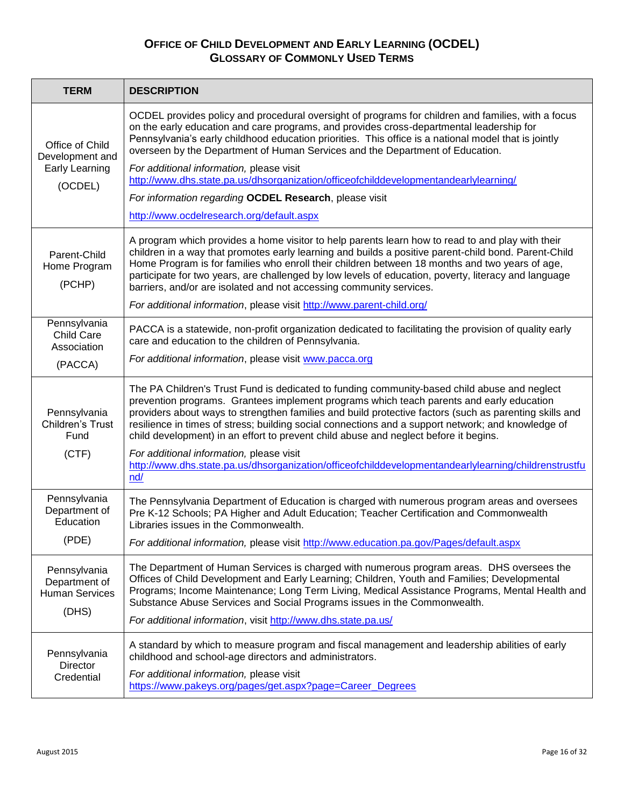| <b>TERM</b>                                                     | <b>DESCRIPTION</b>                                                                                                                                                                                                                                                                                                                                                                                                                                                                                                                                                                                                                                   |
|-----------------------------------------------------------------|------------------------------------------------------------------------------------------------------------------------------------------------------------------------------------------------------------------------------------------------------------------------------------------------------------------------------------------------------------------------------------------------------------------------------------------------------------------------------------------------------------------------------------------------------------------------------------------------------------------------------------------------------|
| Office of Child<br>Development and<br><b>Early Learning</b>     | OCDEL provides policy and procedural oversight of programs for children and families, with a focus<br>on the early education and care programs, and provides cross-departmental leadership for<br>Pennsylvania's early childhood education priorities. This office is a national model that is jointly<br>overseen by the Department of Human Services and the Department of Education.<br>For additional information, please visit                                                                                                                                                                                                                  |
| (OCDEL)                                                         | http://www.dhs.state.pa.us/dhsorganization/officeofchilddevelopmentandearlylearning/<br>For information regarding OCDEL Research, please visit                                                                                                                                                                                                                                                                                                                                                                                                                                                                                                       |
|                                                                 | http://www.ocdelresearch.org/default.aspx                                                                                                                                                                                                                                                                                                                                                                                                                                                                                                                                                                                                            |
| Parent-Child<br>Home Program<br>(PCHP)                          | A program which provides a home visitor to help parents learn how to read to and play with their<br>children in a way that promotes early learning and builds a positive parent-child bond. Parent-Child<br>Home Program is for families who enroll their children between 18 months and two years of age,<br>participate for two years, are challenged by low levels of education, poverty, literacy and language<br>barriers, and/or are isolated and not accessing community services.                                                                                                                                                            |
|                                                                 | For additional information, please visit http://www.parent-child.org/                                                                                                                                                                                                                                                                                                                                                                                                                                                                                                                                                                                |
| Pennsylvania<br><b>Child Care</b><br>Association                | PACCA is a statewide, non-profit organization dedicated to facilitating the provision of quality early<br>care and education to the children of Pennsylvania.                                                                                                                                                                                                                                                                                                                                                                                                                                                                                        |
| (PACCA)                                                         | For additional information, please visit www.pacca.org                                                                                                                                                                                                                                                                                                                                                                                                                                                                                                                                                                                               |
| Pennsylvania<br>Children's Trust<br>Fund<br>(CTF)               | The PA Children's Trust Fund is dedicated to funding community-based child abuse and neglect<br>prevention programs. Grantees implement programs which teach parents and early education<br>providers about ways to strengthen families and build protective factors (such as parenting skills and<br>resilience in times of stress; building social connections and a support network; and knowledge of<br>child development) in an effort to prevent child abuse and neglect before it begins.<br>For additional information, please visit<br>http://www.dhs.state.pa.us/dhsorganization/officeofchilddevelopmentandearlylearning/childrenstrustfu |
|                                                                 | nd/                                                                                                                                                                                                                                                                                                                                                                                                                                                                                                                                                                                                                                                  |
| Pennsylvania<br>Department of<br>Education                      | The Pennsylvania Department of Education is charged with numerous program areas and oversees<br>Pre K-12 Schools; PA Higher and Adult Education; Teacher Certification and Commonwealth<br>Libraries issues in the Commonwealth.                                                                                                                                                                                                                                                                                                                                                                                                                     |
| (PDE)                                                           | For additional information, please visit http://www.education.pa.gov/Pages/default.aspx                                                                                                                                                                                                                                                                                                                                                                                                                                                                                                                                                              |
| Pennsylvania<br>Department of<br><b>Human Services</b><br>(DHS) | The Department of Human Services is charged with numerous program areas. DHS oversees the<br>Offices of Child Development and Early Learning; Children, Youth and Families; Developmental<br>Programs; Income Maintenance; Long Term Living, Medical Assistance Programs, Mental Health and<br>Substance Abuse Services and Social Programs issues in the Commonwealth.<br>For additional information, visit http://www.dhs.state.pa.us/                                                                                                                                                                                                             |
| Pennsylvania<br>Director<br>Credential                          | A standard by which to measure program and fiscal management and leadership abilities of early<br>childhood and school-age directors and administrators.<br>For additional information, please visit<br>https://www.pakeys.org/pages/get.aspx?page=Career_Degrees                                                                                                                                                                                                                                                                                                                                                                                    |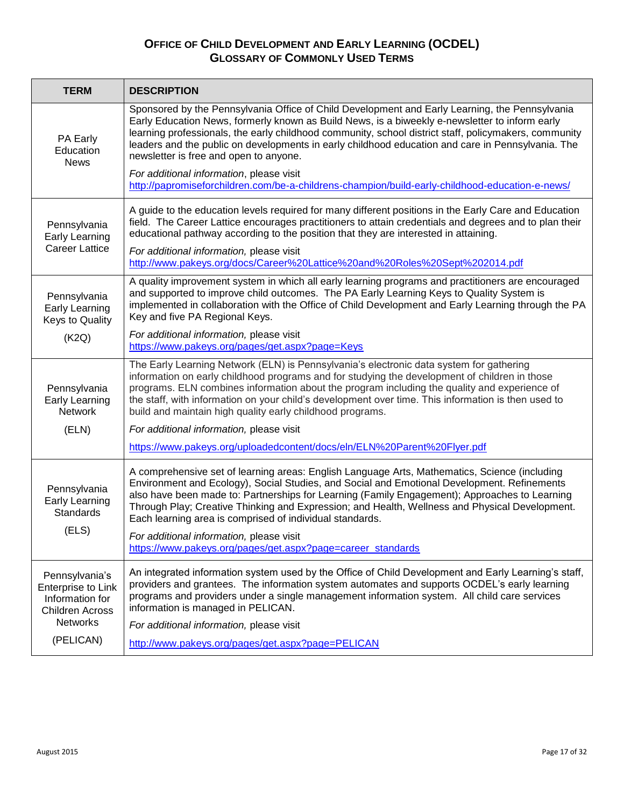| <b>TERM</b>                                                                       | <b>DESCRIPTION</b>                                                                                                                                                                                                                                                                                                                                                                                                                                           |
|-----------------------------------------------------------------------------------|--------------------------------------------------------------------------------------------------------------------------------------------------------------------------------------------------------------------------------------------------------------------------------------------------------------------------------------------------------------------------------------------------------------------------------------------------------------|
| PA Early<br>Education<br><b>News</b>                                              | Sponsored by the Pennsylvania Office of Child Development and Early Learning, the Pennsylvania<br>Early Education News, formerly known as Build News, is a biweekly e-newsletter to inform early<br>learning professionals, the early childhood community, school district staff, policymakers, community<br>leaders and the public on developments in early childhood education and care in Pennsylvania. The<br>newsletter is free and open to anyone.     |
|                                                                                   | For additional information, please visit<br>http://papromiseforchildren.com/be-a-childrens-champion/build-early-childhood-education-e-news/                                                                                                                                                                                                                                                                                                                  |
| Pennsylvania<br>Early Learning                                                    | A guide to the education levels required for many different positions in the Early Care and Education<br>field. The Career Lattice encourages practitioners to attain credentials and degrees and to plan their<br>educational pathway according to the position that they are interested in attaining.                                                                                                                                                      |
| <b>Career Lattice</b>                                                             | For additional information, please visit<br>http://www.pakeys.org/docs/Career%20Lattice%20and%20Roles%20Sept%202014.pdf                                                                                                                                                                                                                                                                                                                                      |
| Pennsylvania<br>Early Learning<br>Keys to Quality                                 | A quality improvement system in which all early learning programs and practitioners are encouraged<br>and supported to improve child outcomes. The PA Early Learning Keys to Quality System is<br>implemented in collaboration with the Office of Child Development and Early Learning through the PA<br>Key and five PA Regional Keys.                                                                                                                      |
| (K2Q)                                                                             | For additional information, please visit<br>https://www.pakeys.org/pages/get.aspx?page=Keys                                                                                                                                                                                                                                                                                                                                                                  |
| Pennsylvania<br><b>Early Learning</b><br><b>Network</b>                           | The Early Learning Network (ELN) is Pennsylvania's electronic data system for gathering<br>information on early childhood programs and for studying the development of children in those<br>programs. ELN combines information about the program including the quality and experience of<br>the staff, with information on your child's development over time. This information is then used to<br>build and maintain high quality early childhood programs. |
| (ELN)                                                                             | For additional information, please visit                                                                                                                                                                                                                                                                                                                                                                                                                     |
|                                                                                   | https://www.pakeys.org/uploadedcontent/docs/eln/ELN%20Parent%20Flyer.pdf                                                                                                                                                                                                                                                                                                                                                                                     |
| Pennsylvania<br>Early Learning<br><b>Standards</b><br>(ELS)                       | A comprehensive set of learning areas: English Language Arts, Mathematics, Science (including<br>Environment and Ecology), Social Studies, and Social and Emotional Development. Refinements<br>also have been made to: Partnerships for Learning (Family Engagement); Approaches to Learning<br>Through Play; Creative Thinking and Expression; and Health, Wellness and Physical Development.<br>Each learning area is comprised of individual standards.  |
|                                                                                   | For additional information, please visit<br>https://www.pakeys.org/pages/get.aspx?page=career_standards                                                                                                                                                                                                                                                                                                                                                      |
| Pennsylvania's<br>Enterprise to Link<br>Information for<br><b>Children Across</b> | An integrated information system used by the Office of Child Development and Early Learning's staff,<br>providers and grantees. The information system automates and supports OCDEL's early learning<br>programs and providers under a single management information system. All child care services<br>information is managed in PELICAN.                                                                                                                   |
| <b>Networks</b><br>(PELICAN)                                                      | For additional information, please visit                                                                                                                                                                                                                                                                                                                                                                                                                     |
|                                                                                   | http://www.pakeys.org/pages/get.aspx?page=PELICAN                                                                                                                                                                                                                                                                                                                                                                                                            |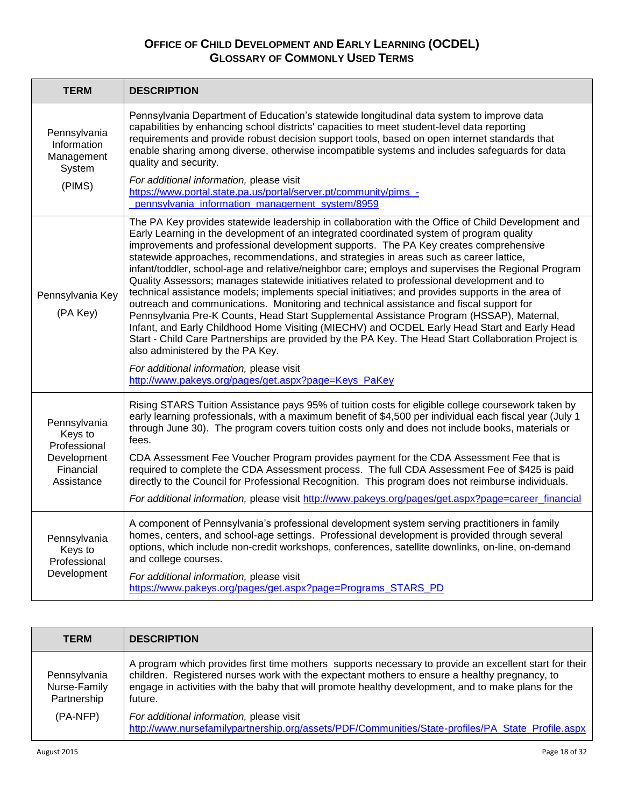| <b>TERM</b>                                                                       | <b>DESCRIPTION</b>                                                                                                                                                                                                                                                                                                                                                                                                                                                                                                                                                                                                                                                                                                                                                                                                                                                                                                                                                                                                                                                                                                                                                                                                               |
|-----------------------------------------------------------------------------------|----------------------------------------------------------------------------------------------------------------------------------------------------------------------------------------------------------------------------------------------------------------------------------------------------------------------------------------------------------------------------------------------------------------------------------------------------------------------------------------------------------------------------------------------------------------------------------------------------------------------------------------------------------------------------------------------------------------------------------------------------------------------------------------------------------------------------------------------------------------------------------------------------------------------------------------------------------------------------------------------------------------------------------------------------------------------------------------------------------------------------------------------------------------------------------------------------------------------------------|
| Pennsylvania<br>Information<br>Management<br>System<br>(PIMS)                     | Pennsylvania Department of Education's statewide longitudinal data system to improve data<br>capabilities by enhancing school districts' capacities to meet student-level data reporting<br>requirements and provide robust decision support tools, based on open internet standards that<br>enable sharing among diverse, otherwise incompatible systems and includes safeguards for data<br>quality and security.<br>For additional information, please visit<br>https://www.portal.state.pa.us/portal/server.pt/community/pims_-<br>pennsylvania_information_management_system/8959                                                                                                                                                                                                                                                                                                                                                                                                                                                                                                                                                                                                                                           |
| Pennsylvania Key<br>(PA Key)                                                      | The PA Key provides statewide leadership in collaboration with the Office of Child Development and<br>Early Learning in the development of an integrated coordinated system of program quality<br>improvements and professional development supports. The PA Key creates comprehensive<br>statewide approaches, recommendations, and strategies in areas such as career lattice,<br>infant/toddler, school-age and relative/neighbor care; employs and supervises the Regional Program<br>Quality Assessors; manages statewide initiatives related to professional development and to<br>technical assistance models; implements special initiatives; and provides supports in the area of<br>outreach and communications. Monitoring and technical assistance and fiscal support for<br>Pennsylvania Pre-K Counts, Head Start Supplemental Assistance Program (HSSAP), Maternal,<br>Infant, and Early Childhood Home Visiting (MIECHV) and OCDEL Early Head Start and Early Head<br>Start - Child Care Partnerships are provided by the PA Key. The Head Start Collaboration Project is<br>also administered by the PA Key.<br>For additional information, please visit<br>http://www.pakeys.org/pages/get.aspx?page=Keys_PaKey |
| Pennsylvania<br>Keys to<br>Professional<br>Development<br>Financial<br>Assistance | Rising STARS Tuition Assistance pays 95% of tuition costs for eligible college coursework taken by<br>early learning professionals, with a maximum benefit of \$4,500 per individual each fiscal year (July 1<br>through June 30). The program covers tuition costs only and does not include books, materials or<br>fees.<br>CDA Assessment Fee Voucher Program provides payment for the CDA Assessment Fee that is<br>required to complete the CDA Assessment process. The full CDA Assessment Fee of \$425 is paid<br>directly to the Council for Professional Recognition. This program does not reimburse individuals.<br>For additional information, please visit http://www.pakeys.org/pages/get.aspx?page=career_financial                                                                                                                                                                                                                                                                                                                                                                                                                                                                                               |
| Pennsylvania<br>Keys to<br>Professional<br>Development                            | A component of Pennsylvania's professional development system serving practitioners in family<br>homes, centers, and school-age settings. Professional development is provided through several<br>options, which include non-credit workshops, conferences, satellite downlinks, on-line, on-demand<br>and college courses.<br>For additional information, please visit<br>https://www.pakeys.org/pages/get.aspx?page=Programs_STARS_PD                                                                                                                                                                                                                                                                                                                                                                                                                                                                                                                                                                                                                                                                                                                                                                                          |

| <b>TERM</b>                                 | <b>DESCRIPTION</b>                                                                                                                                                                                                                                                                                                        |
|---------------------------------------------|---------------------------------------------------------------------------------------------------------------------------------------------------------------------------------------------------------------------------------------------------------------------------------------------------------------------------|
| Pennsylvania<br>Nurse-Family<br>Partnership | A program which provides first time mothers supports necessary to provide an excellent start for their<br>children. Registered nurses work with the expectant mothers to ensure a healthy pregnancy, to<br>engage in activities with the baby that will promote healthy development, and to make plans for the<br>future. |
| (PA-NFP)                                    | For additional information, please visit<br>http://www.nursefamilypartnership.org/assets/PDF/Communities/State-profiles/PA_State_Profile.aspx                                                                                                                                                                             |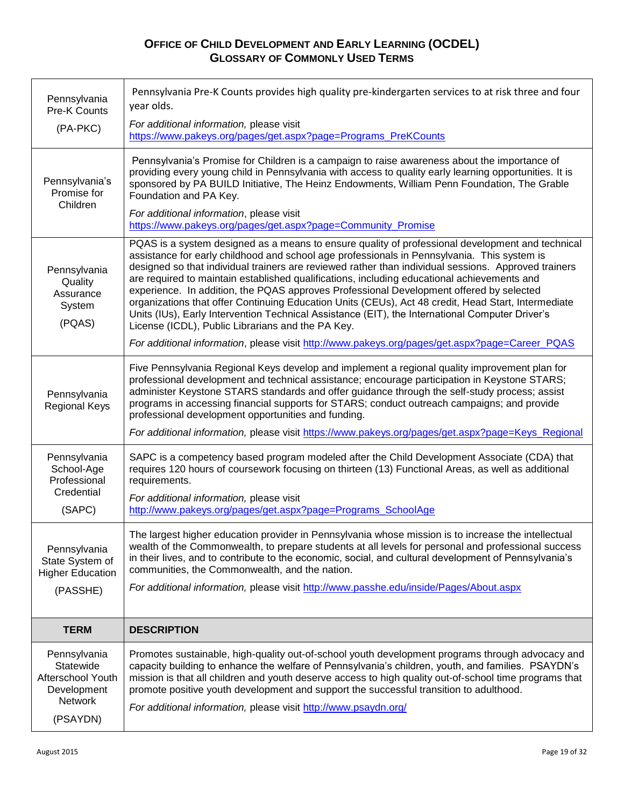| Pennsylvania<br>Pre-K Counts                                                                | Pennsylvania Pre-K Counts provides high quality pre-kindergarten services to at risk three and four<br>year olds.                                                                                                                                                                                                                                                                                                                                                                                                                                                                                                                                                                                                                                                |
|---------------------------------------------------------------------------------------------|------------------------------------------------------------------------------------------------------------------------------------------------------------------------------------------------------------------------------------------------------------------------------------------------------------------------------------------------------------------------------------------------------------------------------------------------------------------------------------------------------------------------------------------------------------------------------------------------------------------------------------------------------------------------------------------------------------------------------------------------------------------|
| (PA-PKC)                                                                                    | For additional information, please visit<br>https://www.pakeys.org/pages/get.aspx?page=Programs_PreKCounts                                                                                                                                                                                                                                                                                                                                                                                                                                                                                                                                                                                                                                                       |
| Pennsylvania's<br>Promise for<br>Children                                                   | Pennsylvania's Promise for Children is a campaign to raise awareness about the importance of<br>providing every young child in Pennsylvania with access to quality early learning opportunities. It is<br>sponsored by PA BUILD Initiative, The Heinz Endowments, William Penn Foundation, The Grable<br>Foundation and PA Key.                                                                                                                                                                                                                                                                                                                                                                                                                                  |
|                                                                                             | For additional information, please visit<br>https://www.pakeys.org/pages/get.aspx?page=Community_Promise                                                                                                                                                                                                                                                                                                                                                                                                                                                                                                                                                                                                                                                         |
| Pennsylvania<br>Quality<br>Assurance<br>System<br>(PQAS)                                    | PQAS is a system designed as a means to ensure quality of professional development and technical<br>assistance for early childhood and school age professionals in Pennsylvania. This system is<br>designed so that individual trainers are reviewed rather than individual sessions. Approved trainers<br>are required to maintain established qualifications, including educational achievements and<br>experience. In addition, the PQAS approves Professional Development offered by selected<br>organizations that offer Continuing Education Units (CEUs), Act 48 credit, Head Start, Intermediate<br>Units (IUs), Early Intervention Technical Assistance (EIT), the International Computer Driver's<br>License (ICDL), Public Librarians and the PA Key. |
|                                                                                             | For additional information, please visit http://www.pakeys.org/pages/get.aspx?page=Career_PQAS                                                                                                                                                                                                                                                                                                                                                                                                                                                                                                                                                                                                                                                                   |
| Pennsylvania<br><b>Regional Keys</b>                                                        | Five Pennsylvania Regional Keys develop and implement a regional quality improvement plan for<br>professional development and technical assistance; encourage participation in Keystone STARS;<br>administer Keystone STARS standards and offer guidance through the self-study process; assist<br>programs in accessing financial supports for STARS; conduct outreach campaigns; and provide<br>professional development opportunities and funding.<br>For additional information, please visit https://www.pakeys.org/pages/get.aspx?page=Keys_Regional                                                                                                                                                                                                       |
| Pennsylvania<br>School-Age<br>Professional<br>Credential<br>(SAPC)                          | SAPC is a competency based program modeled after the Child Development Associate (CDA) that<br>requires 120 hours of coursework focusing on thirteen (13) Functional Areas, as well as additional<br>requirements.<br>For additional information, please visit<br>http://www.pakeys.org/pages/get.aspx?page=Programs SchoolAge                                                                                                                                                                                                                                                                                                                                                                                                                                   |
| Pennsylvania<br>State System of<br><b>Higher Education</b><br>(PASSHE)                      | The largest higher education provider in Pennsylvania whose mission is to increase the intellectual<br>wealth of the Commonwealth, to prepare students at all levels for personal and professional success<br>in their lives, and to contribute to the economic, social, and cultural development of Pennsylvania's<br>communities, the Commonwealth, and the nation.<br>For additional information, please visit http://www.passhe.edu/inside/Pages/About.aspx                                                                                                                                                                                                                                                                                                  |
| <b>TERM</b>                                                                                 | <b>DESCRIPTION</b>                                                                                                                                                                                                                                                                                                                                                                                                                                                                                                                                                                                                                                                                                                                                               |
| Pennsylvania<br>Statewide<br>Afterschool Youth<br>Development<br><b>Network</b><br>(PSAYDN) | Promotes sustainable, high-quality out-of-school youth development programs through advocacy and<br>capacity building to enhance the welfare of Pennsylvania's children, youth, and families. PSAYDN's<br>mission is that all children and youth deserve access to high quality out-of-school time programs that<br>promote positive youth development and support the successful transition to adulthood.<br>For additional information, please visit http://www.psaydn.org/                                                                                                                                                                                                                                                                                    |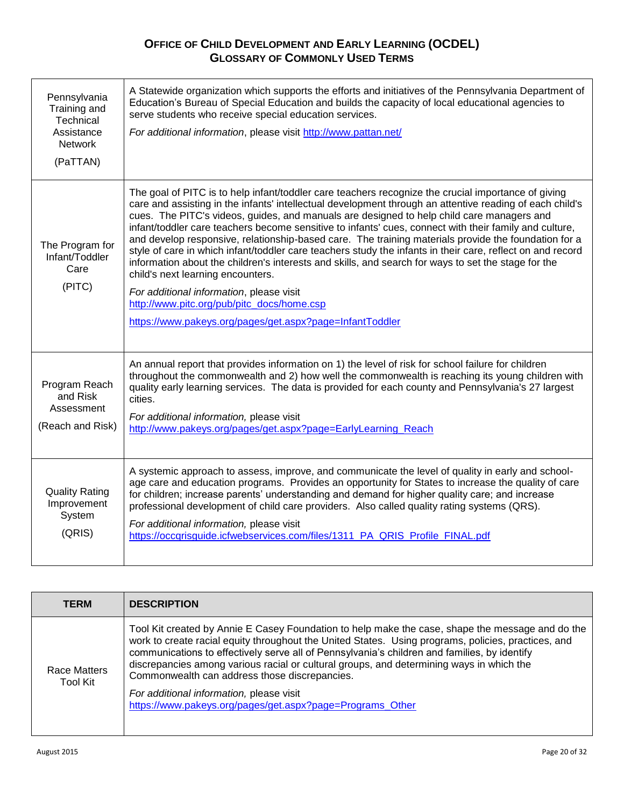| Pennsylvania<br>Training and<br>Technical<br>Assistance<br><b>Network</b><br>(PaTTAN) | A Statewide organization which supports the efforts and initiatives of the Pennsylvania Department of<br>Education's Bureau of Special Education and builds the capacity of local educational agencies to<br>serve students who receive special education services.<br>For additional information, please visit http://www.pattan.net/                                                                                                                                                                                                                                                                                                                                                                                                                                                                                                                                                                                                         |
|---------------------------------------------------------------------------------------|------------------------------------------------------------------------------------------------------------------------------------------------------------------------------------------------------------------------------------------------------------------------------------------------------------------------------------------------------------------------------------------------------------------------------------------------------------------------------------------------------------------------------------------------------------------------------------------------------------------------------------------------------------------------------------------------------------------------------------------------------------------------------------------------------------------------------------------------------------------------------------------------------------------------------------------------|
| The Program for<br>Infant/Toddler<br>Care<br>(PITC)                                   | The goal of PITC is to help infant/toddler care teachers recognize the crucial importance of giving<br>care and assisting in the infants' intellectual development through an attentive reading of each child's<br>cues. The PITC's videos, guides, and manuals are designed to help child care managers and<br>infant/toddler care teachers become sensitive to infants' cues, connect with their family and culture,<br>and develop responsive, relationship-based care. The training materials provide the foundation for a<br>style of care in which infant/toddler care teachers study the infants in their care, reflect on and record<br>information about the children's interests and skills, and search for ways to set the stage for the<br>child's next learning encounters.<br>For additional information, please visit<br>http://www.pitc.org/pub/pitc_docs/home.csp<br>https://www.pakeys.org/pages/get.aspx?page=InfantToddler |
| Program Reach<br>and Risk<br>Assessment<br>(Reach and Risk)                           | An annual report that provides information on 1) the level of risk for school failure for children<br>throughout the commonwealth and 2) how well the commonwealth is reaching its young children with<br>quality early learning services. The data is provided for each county and Pennsylvania's 27 largest<br>cities.<br>For additional information, please visit<br>http://www.pakeys.org/pages/get.aspx?page=EarlyLearning_Reach                                                                                                                                                                                                                                                                                                                                                                                                                                                                                                          |
| <b>Quality Rating</b><br>Improvement<br>System<br>(QRIS)                              | A systemic approach to assess, improve, and communicate the level of quality in early and school-<br>age care and education programs. Provides an opportunity for States to increase the quality of care<br>for children; increase parents' understanding and demand for higher quality care; and increase<br>professional development of child care providers. Also called quality rating systems (QRS).<br>For additional information, please visit<br>https://occqrisguide.icfwebservices.com/files/1311_PA_QRIS_Profile_FINAL.pdf                                                                                                                                                                                                                                                                                                                                                                                                          |

| <b>TERM</b>              | <b>DESCRIPTION</b>                                                                                                                                                                                                                                                                                                                                                                                                                                                                                                                                            |
|--------------------------|---------------------------------------------------------------------------------------------------------------------------------------------------------------------------------------------------------------------------------------------------------------------------------------------------------------------------------------------------------------------------------------------------------------------------------------------------------------------------------------------------------------------------------------------------------------|
| Race Matters<br>Tool Kit | Tool Kit created by Annie E Casey Foundation to help make the case, shape the message and do the<br>work to create racial equity throughout the United States. Using programs, policies, practices, and<br>communications to effectively serve all of Pennsylvania's children and families, by identify<br>discrepancies among various racial or cultural groups, and determining ways in which the<br>Commonwealth can address those discrepancies.<br>For additional information, please visit<br>https://www.pakeys.org/pages/get.aspx?page=Programs_Other |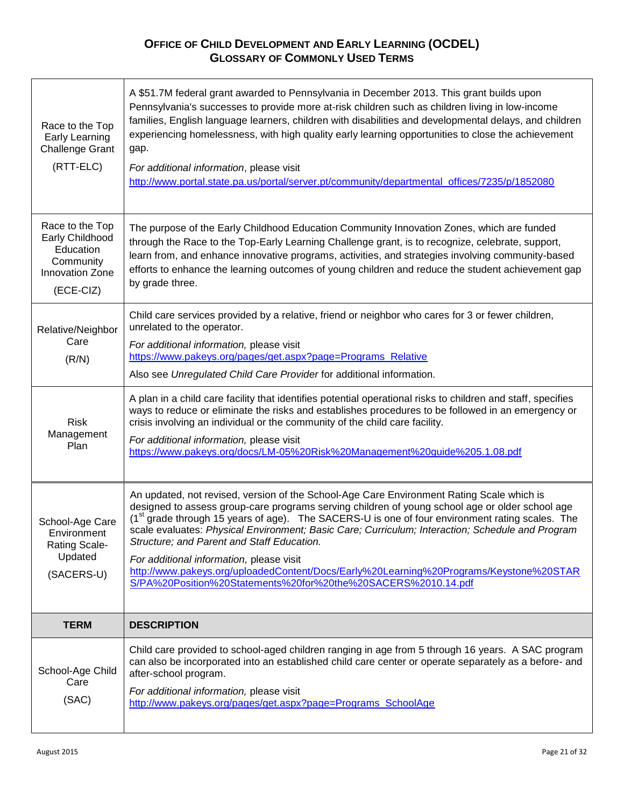| Race to the Top<br>Early Learning<br><b>Challenge Grant</b><br>(RTT-ELC)                     | A \$51.7M federal grant awarded to Pennsylvania in December 2013. This grant builds upon<br>Pennsylvania's successes to provide more at-risk children such as children living in low-income<br>families, English language learners, children with disabilities and developmental delays, and children<br>experiencing homelessness, with high quality early learning opportunities to close the achievement<br>gap.<br>For additional information, please visit<br>http://www.portal.state.pa.us/portal/server.pt/community/departmental_offices/7235/p/1852080                                                                                                      |
|----------------------------------------------------------------------------------------------|----------------------------------------------------------------------------------------------------------------------------------------------------------------------------------------------------------------------------------------------------------------------------------------------------------------------------------------------------------------------------------------------------------------------------------------------------------------------------------------------------------------------------------------------------------------------------------------------------------------------------------------------------------------------|
| Race to the Top<br>Early Childhood<br>Education<br>Community<br>Innovation Zone<br>(ECE-CIZ) | The purpose of the Early Childhood Education Community Innovation Zones, which are funded<br>through the Race to the Top-Early Learning Challenge grant, is to recognize, celebrate, support,<br>learn from, and enhance innovative programs, activities, and strategies involving community-based<br>efforts to enhance the learning outcomes of young children and reduce the student achievement gap<br>by grade three.                                                                                                                                                                                                                                           |
| Relative/Neighbor<br>Care<br>(R/N)                                                           | Child care services provided by a relative, friend or neighbor who cares for 3 or fewer children,<br>unrelated to the operator.<br>For additional information, please visit<br>https://www.pakeys.org/pages/get.aspx?page=Programs_Relative<br>Also see Unregulated Child Care Provider for additional information.                                                                                                                                                                                                                                                                                                                                                  |
| <b>Risk</b><br>Management<br>Plan                                                            | A plan in a child care facility that identifies potential operational risks to children and staff, specifies<br>ways to reduce or eliminate the risks and establishes procedures to be followed in an emergency or<br>crisis involving an individual or the community of the child care facility.<br>For additional information, please visit<br>https://www.pakeys.org/docs/LM-05%20Risk%20Management%20guide%205.1.08.pdf                                                                                                                                                                                                                                          |
| School-Age Care<br>Environment<br><b>Rating Scale-</b><br>Updated<br>(SACERS-U)              | An updated, not revised, version of the School-Age Care Environment Rating Scale which is<br>designed to assess group-care programs serving children of young school age or older school age<br>(1 <sup>st</sup> grade through 15 years of age). The SACERS-U is one of four environment rating scales. The<br>scale evaluates: Physical Environment; Basic Care; Curriculum; Interaction; Schedule and Program<br>Structure; and Parent and Staff Education.<br>For additional information, please visit<br>http://www.pakeys.org/uploadedContent/Docs/Early%20Learning%20Programs/Keystone%20STAR<br>S/PA%20Position%20Statements%20for%20the%20SACERS%2010.14.pdf |
| <b>TERM</b>                                                                                  | <b>DESCRIPTION</b>                                                                                                                                                                                                                                                                                                                                                                                                                                                                                                                                                                                                                                                   |
| School-Age Child<br>Care<br>(SAC)                                                            | Child care provided to school-aged children ranging in age from 5 through 16 years. A SAC program<br>can also be incorporated into an established child care center or operate separately as a before- and<br>after-school program.<br>For additional information, please visit<br>http://www.pakeys.org/pages/get.aspx?page=Programs_SchoolAge                                                                                                                                                                                                                                                                                                                      |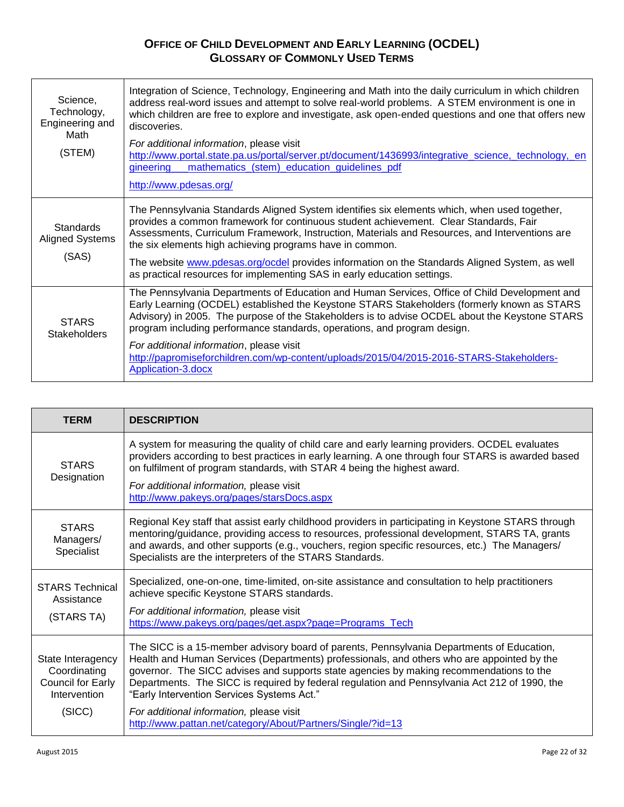| Science,<br>Technology,<br>Engineering and<br>Math<br>(STEM) | Integration of Science, Technology, Engineering and Math into the daily curriculum in which children<br>address real-word issues and attempt to solve real-world problems. A STEM environment is one in<br>which children are free to explore and investigate, ask open-ended questions and one that offers new<br>discoveries.<br>For additional information, please visit<br>http://www.portal.state.pa.us/portal/server.pt/document/1436993/integrative_science,_technology,_en<br>mathematics_(stem)_education_guidelines_pdf<br>gineering<br>http://www.pdesas.org/ |
|--------------------------------------------------------------|--------------------------------------------------------------------------------------------------------------------------------------------------------------------------------------------------------------------------------------------------------------------------------------------------------------------------------------------------------------------------------------------------------------------------------------------------------------------------------------------------------------------------------------------------------------------------|
| <b>Standards</b><br><b>Aligned Systems</b><br>(SAS)          | The Pennsylvania Standards Aligned System identifies six elements which, when used together,<br>provides a common framework for continuous student achievement. Clear Standards, Fair<br>Assessments, Curriculum Framework, Instruction, Materials and Resources, and Interventions are<br>the six elements high achieving programs have in common.<br>The website www.pdesas.org/ocdel provides information on the Standards Aligned System, as well<br>as practical resources for implementing SAS in early education settings.                                        |
| <b>STARS</b><br><b>Stakeholders</b>                          | The Pennsylvania Departments of Education and Human Services, Office of Child Development and<br>Early Learning (OCDEL) established the Keystone STARS Stakeholders (formerly known as STARS<br>Advisory) in 2005. The purpose of the Stakeholders is to advise OCDEL about the Keystone STARS<br>program including performance standards, operations, and program design.<br>For additional information, please visit<br>http://papromiseforchildren.com/wp-content/uploads/2015/04/2015-2016-STARS-Stakeholders-<br>Application-3.docx                                 |

| <b>TERM</b>                                                                      | <b>DESCRIPTION</b>                                                                                                                                                                                                                                                                                                                                                                                                                                                                                                                           |
|----------------------------------------------------------------------------------|----------------------------------------------------------------------------------------------------------------------------------------------------------------------------------------------------------------------------------------------------------------------------------------------------------------------------------------------------------------------------------------------------------------------------------------------------------------------------------------------------------------------------------------------|
| <b>STARS</b><br>Designation                                                      | A system for measuring the quality of child care and early learning providers. OCDEL evaluates<br>providers according to best practices in early learning. A one through four STARS is awarded based<br>on fulfilment of program standards, with STAR 4 being the highest award.<br>For additional information, please visit<br>http://www.pakeys.org/pages/starsDocs.aspx                                                                                                                                                                   |
| <b>STARS</b><br>Managers/<br>Specialist                                          | Regional Key staff that assist early childhood providers in participating in Keystone STARS through<br>mentoring/guidance, providing access to resources, professional development, STARS TA, grants<br>and awards, and other supports (e.g., vouchers, region specific resources, etc.) The Managers/<br>Specialists are the interpreters of the STARS Standards.                                                                                                                                                                           |
| <b>STARS Technical</b><br>Assistance<br>(STARS TA)                               | Specialized, one-on-one, time-limited, on-site assistance and consultation to help practitioners<br>achieve specific Keystone STARS standards.<br>For additional information, please visit<br>https://www.pakeys.org/pages/get.aspx?page=Programs_Tech                                                                                                                                                                                                                                                                                       |
| State Interagency<br>Coordinating<br>Council for Early<br>Intervention<br>(SICC) | The SICC is a 15-member advisory board of parents, Pennsylvania Departments of Education,<br>Health and Human Services (Departments) professionals, and others who are appointed by the<br>governor. The SICC advises and supports state agencies by making recommendations to the<br>Departments. The SICC is required by federal regulation and Pennsylvania Act 212 of 1990, the<br>"Early Intervention Services Systems Act."<br>For additional information, please visit<br>http://www.pattan.net/category/About/Partners/Single/?id=13 |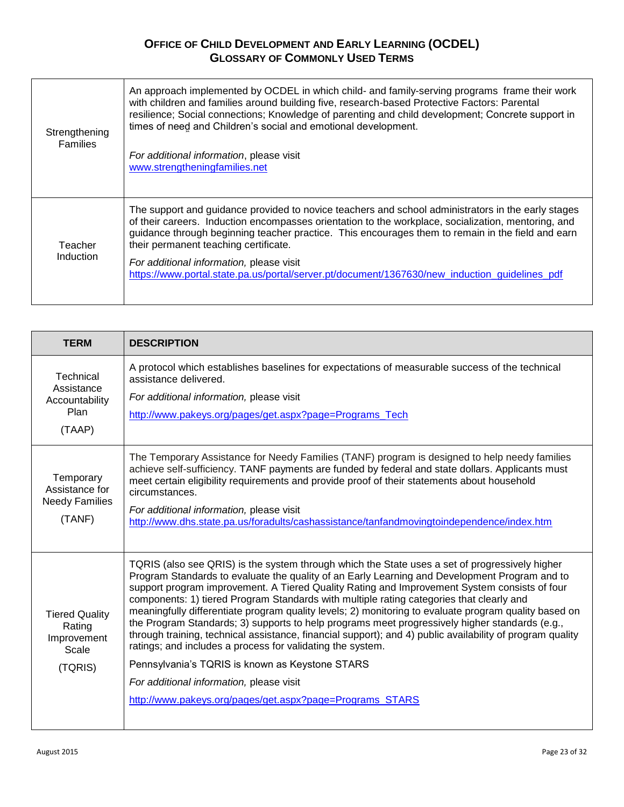| Strengthening<br><b>Families</b> | An approach implemented by OCDEL in which child- and family-serving programs frame their work<br>with children and families around building five, research-based Protective Factors: Parental<br>resilience; Social connections; Knowledge of parenting and child development; Concrete support in<br>times of need and Children's social and emotional development.<br>For additional information, please visit<br>www.strengtheningfamilies.net                                                    |
|----------------------------------|------------------------------------------------------------------------------------------------------------------------------------------------------------------------------------------------------------------------------------------------------------------------------------------------------------------------------------------------------------------------------------------------------------------------------------------------------------------------------------------------------|
| Teacher<br>Induction             | The support and guidance provided to novice teachers and school administrators in the early stages<br>of their careers. Induction encompasses orientation to the workplace, socialization, mentoring, and<br>guidance through beginning teacher practice. This encourages them to remain in the field and earn<br>their permanent teaching certificate.<br>For additional information, please visit<br>https://www.portal.state.pa.us/portal/server.pt/document/1367630/new_induction_guidelines_pdf |

| <b>TERM</b>                                                        | <b>DESCRIPTION</b>                                                                                                                                                                                                                                                                                                                                                                                                                                                                                                                                                                                                                                                                                                                                                                |
|--------------------------------------------------------------------|-----------------------------------------------------------------------------------------------------------------------------------------------------------------------------------------------------------------------------------------------------------------------------------------------------------------------------------------------------------------------------------------------------------------------------------------------------------------------------------------------------------------------------------------------------------------------------------------------------------------------------------------------------------------------------------------------------------------------------------------------------------------------------------|
| Technical<br>Assistance<br>Accountability<br>Plan<br>(TAAP)        | A protocol which establishes baselines for expectations of measurable success of the technical<br>assistance delivered.<br>For additional information, please visit<br>http://www.pakeys.org/pages/get.aspx?page=Programs_Tech                                                                                                                                                                                                                                                                                                                                                                                                                                                                                                                                                    |
| Temporary<br>Assistance for<br>Needy Families<br>(TANF)            | The Temporary Assistance for Needy Families (TANF) program is designed to help needy families<br>achieve self-sufficiency. TANF payments are funded by federal and state dollars. Applicants must<br>meet certain eligibility requirements and provide proof of their statements about household<br>circumstances.<br>For additional information, please visit<br>http://www.dhs.state.pa.us/foradults/cashassistance/tanfandmovingtoindependence/index.htm                                                                                                                                                                                                                                                                                                                       |
| <b>Tiered Quality</b><br>Rating<br>Improvement<br>Scale<br>(TQRIS) | TQRIS (also see QRIS) is the system through which the State uses a set of progressively higher<br>Program Standards to evaluate the quality of an Early Learning and Development Program and to<br>support program improvement. A Tiered Quality Rating and Improvement System consists of four<br>components: 1) tiered Program Standards with multiple rating categories that clearly and<br>meaningfully differentiate program quality levels; 2) monitoring to evaluate program quality based on<br>the Program Standards; 3) supports to help programs meet progressively higher standards (e.g.,<br>through training, technical assistance, financial support); and 4) public availability of program quality<br>ratings; and includes a process for validating the system. |
|                                                                    | Pennsylvania's TQRIS is known as Keystone STARS                                                                                                                                                                                                                                                                                                                                                                                                                                                                                                                                                                                                                                                                                                                                   |
|                                                                    | For additional information, please visit                                                                                                                                                                                                                                                                                                                                                                                                                                                                                                                                                                                                                                                                                                                                          |
|                                                                    | http://www.pakeys.org/pages/get.aspx?page=Programs STARS                                                                                                                                                                                                                                                                                                                                                                                                                                                                                                                                                                                                                                                                                                                          |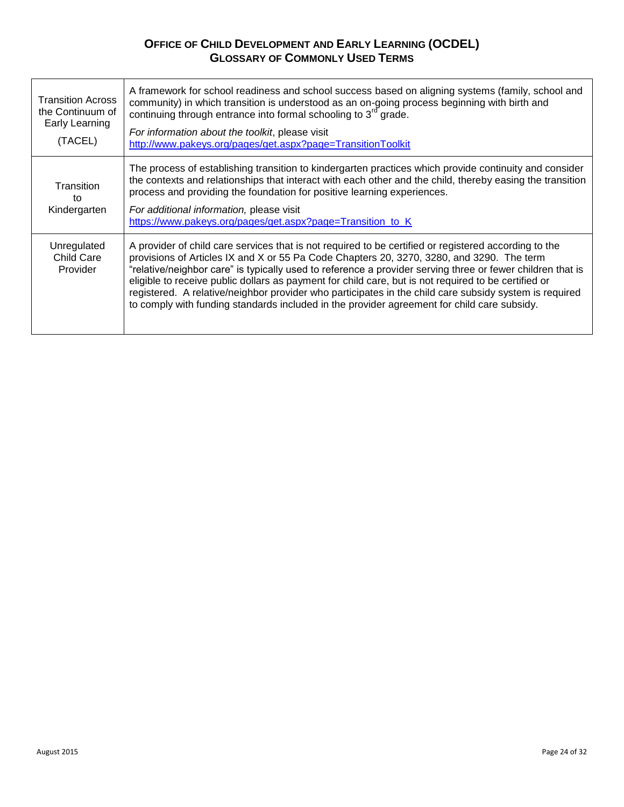| <b>Transition Across</b><br>the Continuum of<br>Early Learning<br>(TACEL) | A framework for school readiness and school success based on aligning systems (family, school and<br>community) in which transition is understood as an on-going process beginning with birth and<br>continuing through entrance into formal schooling to 3 <sup>rd</sup> grade.<br>For information about the toolkit, please visit<br>http://www.pakeys.org/pages/get.aspx?page=TransitionToolkit                                                                                                                                                                                                                                |
|---------------------------------------------------------------------------|-----------------------------------------------------------------------------------------------------------------------------------------------------------------------------------------------------------------------------------------------------------------------------------------------------------------------------------------------------------------------------------------------------------------------------------------------------------------------------------------------------------------------------------------------------------------------------------------------------------------------------------|
| Transition<br>tο<br>Kindergarten                                          | The process of establishing transition to kindergarten practices which provide continuity and consider<br>the contexts and relationships that interact with each other and the child, thereby easing the transition<br>process and providing the foundation for positive learning experiences.<br>For additional information, please visit<br>https://www.pakeys.org/pages/get.aspx?page=Transition_to_K                                                                                                                                                                                                                          |
| Unregulated<br><b>Child Care</b><br>Provider                              | A provider of child care services that is not required to be certified or registered according to the<br>provisions of Articles IX and X or 55 Pa Code Chapters 20, 3270, 3280, and 3290. The term<br>"relative/neighbor care" is typically used to reference a provider serving three or fewer children that is<br>eligible to receive public dollars as payment for child care, but is not required to be certified or<br>registered. A relative/neighbor provider who participates in the child care subsidy system is required<br>to comply with funding standards included in the provider agreement for child care subsidy. |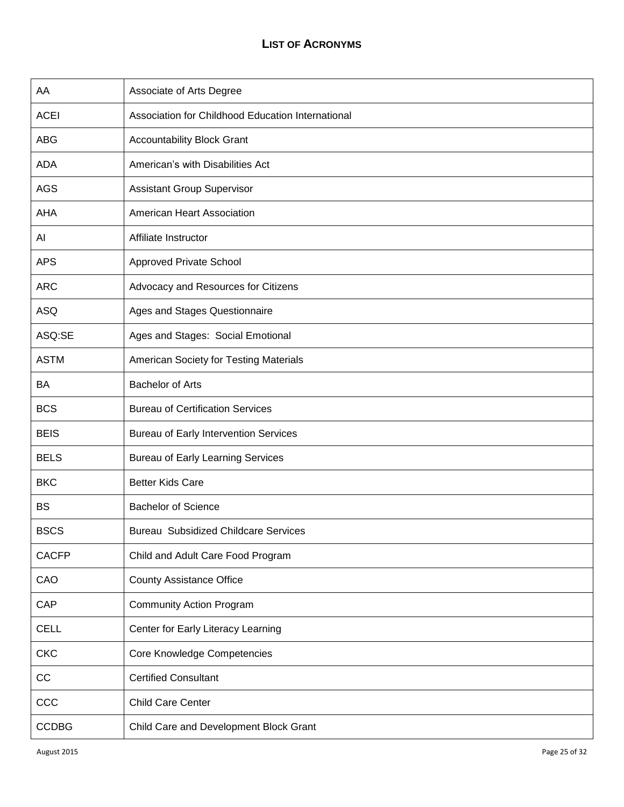| AA           | Associate of Arts Degree                          |
|--------------|---------------------------------------------------|
| <b>ACEI</b>  | Association for Childhood Education International |
| ABG          | <b>Accountability Block Grant</b>                 |
| <b>ADA</b>   | American's with Disabilities Act                  |
| <b>AGS</b>   | <b>Assistant Group Supervisor</b>                 |
| <b>AHA</b>   | American Heart Association                        |
| Al           | Affiliate Instructor                              |
| <b>APS</b>   | <b>Approved Private School</b>                    |
| <b>ARC</b>   | Advocacy and Resources for Citizens               |
| <b>ASQ</b>   | Ages and Stages Questionnaire                     |
| ASQ:SE       | Ages and Stages: Social Emotional                 |
| <b>ASTM</b>  | American Society for Testing Materials            |
| BA           | <b>Bachelor of Arts</b>                           |
| <b>BCS</b>   | <b>Bureau of Certification Services</b>           |
| <b>BEIS</b>  | <b>Bureau of Early Intervention Services</b>      |
| <b>BELS</b>  | <b>Bureau of Early Learning Services</b>          |
| <b>BKC</b>   | <b>Better Kids Care</b>                           |
| <b>BS</b>    | <b>Bachelor of Science</b>                        |
| <b>BSCS</b>  | <b>Bureau Subsidized Childcare Services</b>       |
| <b>CACFP</b> | Child and Adult Care Food Program                 |
| CAO          | <b>County Assistance Office</b>                   |
| CAP          | <b>Community Action Program</b>                   |
| <b>CELL</b>  | Center for Early Literacy Learning                |
| <b>CKC</b>   | Core Knowledge Competencies                       |
| CC           | <b>Certified Consultant</b>                       |
| CCC          | <b>Child Care Center</b>                          |
| <b>CCDBG</b> | Child Care and Development Block Grant            |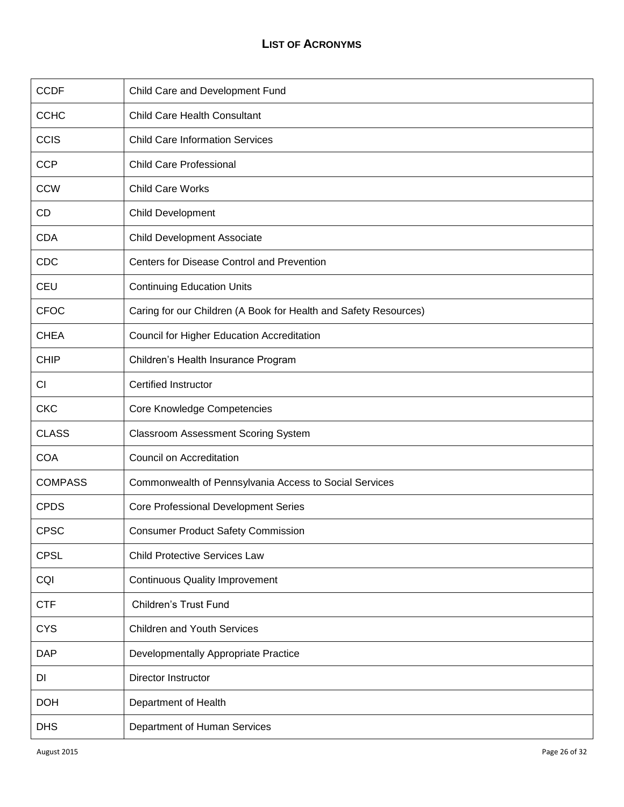| <b>CCDF</b>    | Child Care and Development Fund                                  |
|----------------|------------------------------------------------------------------|
| <b>CCHC</b>    | Child Care Health Consultant                                     |
| <b>CCIS</b>    | <b>Child Care Information Services</b>                           |
| <b>CCP</b>     | <b>Child Care Professional</b>                                   |
| <b>CCW</b>     | <b>Child Care Works</b>                                          |
| CD             | <b>Child Development</b>                                         |
| <b>CDA</b>     | <b>Child Development Associate</b>                               |
| CDC            | Centers for Disease Control and Prevention                       |
| <b>CEU</b>     | <b>Continuing Education Units</b>                                |
| <b>CFOC</b>    | Caring for our Children (A Book for Health and Safety Resources) |
| <b>CHEA</b>    | Council for Higher Education Accreditation                       |
| <b>CHIP</b>    | Children's Health Insurance Program                              |
| CI             | <b>Certified Instructor</b>                                      |
| <b>CKC</b>     | Core Knowledge Competencies                                      |
| <b>CLASS</b>   | <b>Classroom Assessment Scoring System</b>                       |
| <b>COA</b>     | Council on Accreditation                                         |
| <b>COMPASS</b> | Commonwealth of Pennsylvania Access to Social Services           |
| <b>CPDS</b>    | <b>Core Professional Development Series</b>                      |
| <b>CPSC</b>    | <b>Consumer Product Safety Commission</b>                        |
| <b>CPSL</b>    | <b>Child Protective Services Law</b>                             |
| CQI            | <b>Continuous Quality Improvement</b>                            |
| <b>CTF</b>     | <b>Children's Trust Fund</b>                                     |
| <b>CYS</b>     | <b>Children and Youth Services</b>                               |
| <b>DAP</b>     | Developmentally Appropriate Practice                             |
| DI             | Director Instructor                                              |
| <b>DOH</b>     | Department of Health                                             |
| <b>DHS</b>     | Department of Human Services                                     |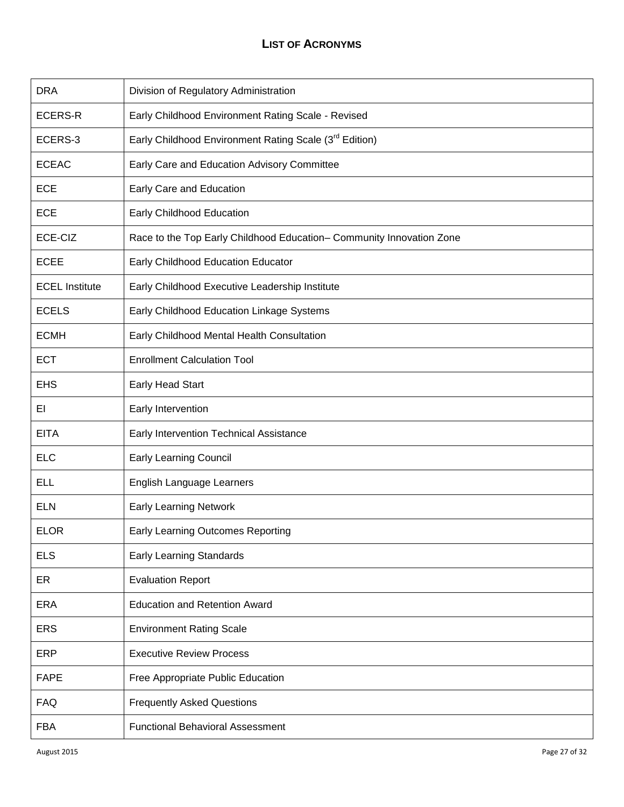| <b>DRA</b>            | Division of Regulatory Administration                                |
|-----------------------|----------------------------------------------------------------------|
| <b>ECERS-R</b>        | Early Childhood Environment Rating Scale - Revised                   |
| ECERS-3               | Early Childhood Environment Rating Scale (3rd Edition)               |
| <b>ECEAC</b>          | Early Care and Education Advisory Committee                          |
| <b>ECE</b>            | Early Care and Education                                             |
| <b>ECE</b>            | Early Childhood Education                                            |
| ECE-CIZ               | Race to the Top Early Childhood Education- Community Innovation Zone |
| <b>ECEE</b>           | Early Childhood Education Educator                                   |
| <b>ECEL Institute</b> | Early Childhood Executive Leadership Institute                       |
| <b>ECELS</b>          | Early Childhood Education Linkage Systems                            |
| <b>ECMH</b>           | Early Childhood Mental Health Consultation                           |
| <b>ECT</b>            | <b>Enrollment Calculation Tool</b>                                   |
| <b>EHS</b>            | Early Head Start                                                     |
| EL                    | Early Intervention                                                   |
| <b>EITA</b>           | Early Intervention Technical Assistance                              |
| <b>ELC</b>            | <b>Early Learning Council</b>                                        |
| <b>ELL</b>            | English Language Learners                                            |
| <b>ELN</b>            | <b>Early Learning Network</b>                                        |
| <b>ELOR</b>           | Early Learning Outcomes Reporting                                    |
| <b>ELS</b>            | <b>Early Learning Standards</b>                                      |
| ER                    | <b>Evaluation Report</b>                                             |
| <b>ERA</b>            | <b>Education and Retention Award</b>                                 |
| <b>ERS</b>            | <b>Environment Rating Scale</b>                                      |
| ERP                   | <b>Executive Review Process</b>                                      |
| <b>FAPE</b>           | Free Appropriate Public Education                                    |
| <b>FAQ</b>            | <b>Frequently Asked Questions</b>                                    |
| <b>FBA</b>            | <b>Functional Behavioral Assessment</b>                              |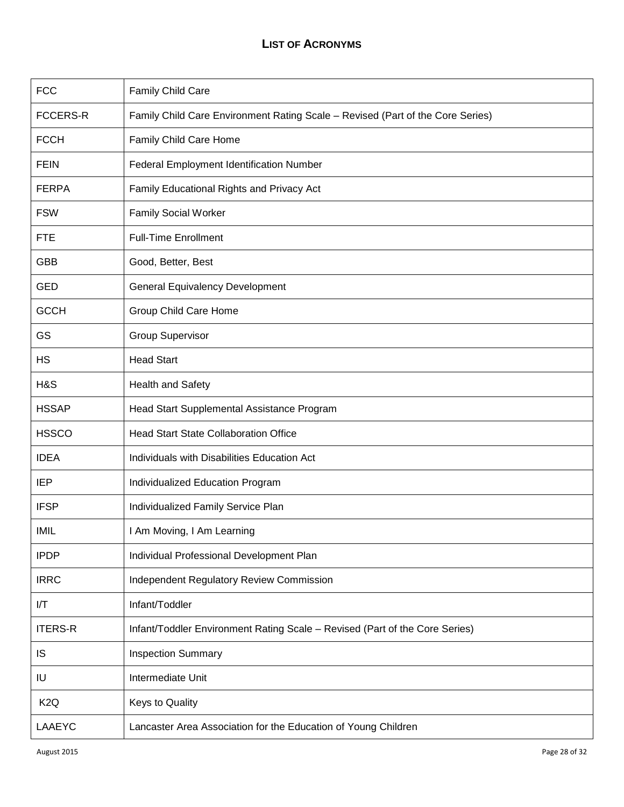| <b>FCC</b>       | Family Child Care                                                              |
|------------------|--------------------------------------------------------------------------------|
| <b>FCCERS-R</b>  | Family Child Care Environment Rating Scale - Revised (Part of the Core Series) |
| <b>FCCH</b>      | Family Child Care Home                                                         |
| <b>FEIN</b>      | Federal Employment Identification Number                                       |
| <b>FERPA</b>     | Family Educational Rights and Privacy Act                                      |
| <b>FSW</b>       | <b>Family Social Worker</b>                                                    |
| <b>FTE</b>       | <b>Full-Time Enrollment</b>                                                    |
| <b>GBB</b>       | Good, Better, Best                                                             |
| <b>GED</b>       | <b>General Equivalency Development</b>                                         |
| <b>GCCH</b>      | Group Child Care Home                                                          |
| GS               | <b>Group Supervisor</b>                                                        |
| <b>HS</b>        | <b>Head Start</b>                                                              |
| H&S              | <b>Health and Safety</b>                                                       |
| <b>HSSAP</b>     | Head Start Supplemental Assistance Program                                     |
| <b>HSSCO</b>     | <b>Head Start State Collaboration Office</b>                                   |
| <b>IDEA</b>      | Individuals with Disabilities Education Act                                    |
| <b>IEP</b>       | Individualized Education Program                                               |
| <b>IFSP</b>      | Individualized Family Service Plan                                             |
| IMIL             | I Am Moving, I Am Learning                                                     |
| <b>IPDP</b>      | Individual Professional Development Plan                                       |
| <b>IRRC</b>      | <b>Independent Regulatory Review Commission</b>                                |
| I/T              | Infant/Toddler                                                                 |
| <b>ITERS-R</b>   | Infant/Toddler Environment Rating Scale - Revised (Part of the Core Series)    |
| <b>IS</b>        | <b>Inspection Summary</b>                                                      |
| IU               | Intermediate Unit                                                              |
| K <sub>2</sub> Q | Keys to Quality                                                                |
| LAAEYC           | Lancaster Area Association for the Education of Young Children                 |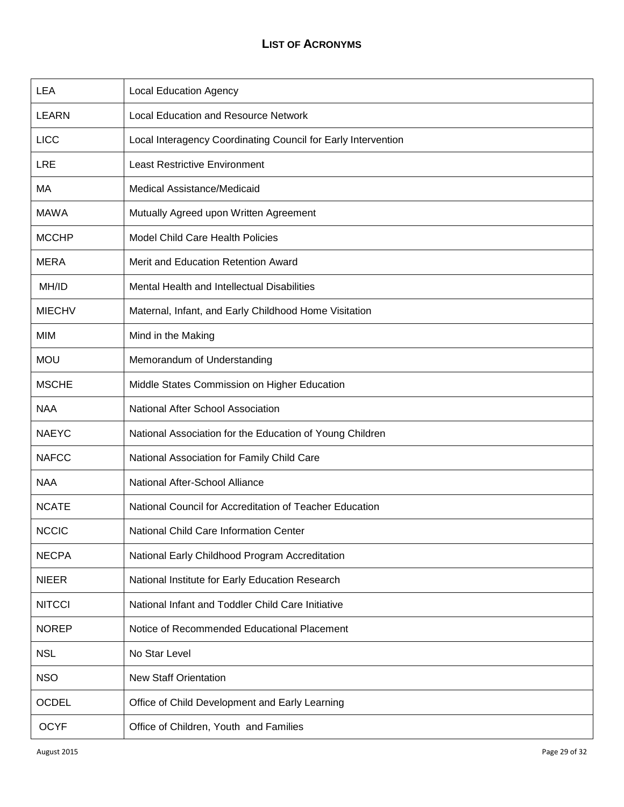| <b>LEA</b>    | <b>Local Education Agency</b>                                 |
|---------------|---------------------------------------------------------------|
| <b>LEARN</b>  | <b>Local Education and Resource Network</b>                   |
| <b>LICC</b>   | Local Interagency Coordinating Council for Early Intervention |
| <b>LRE</b>    | <b>Least Restrictive Environment</b>                          |
| МA            | Medical Assistance/Medicaid                                   |
| <b>MAWA</b>   | Mutually Agreed upon Written Agreement                        |
| <b>MCCHP</b>  | Model Child Care Health Policies                              |
| <b>MERA</b>   | Merit and Education Retention Award                           |
| MH/ID         | Mental Health and Intellectual Disabilities                   |
| <b>MIECHV</b> | Maternal, Infant, and Early Childhood Home Visitation         |
| MIM           | Mind in the Making                                            |
| <b>MOU</b>    | Memorandum of Understanding                                   |
| <b>MSCHE</b>  | Middle States Commission on Higher Education                  |
| <b>NAA</b>    | National After School Association                             |
| <b>NAEYC</b>  | National Association for the Education of Young Children      |
| <b>NAFCC</b>  | National Association for Family Child Care                    |
| <b>NAA</b>    | National After-School Alliance                                |
| <b>NCATE</b>  | National Council for Accreditation of Teacher Education       |
| <b>NCCIC</b>  | National Child Care Information Center                        |
| <b>NECPA</b>  | National Early Childhood Program Accreditation                |
| <b>NIEER</b>  | National Institute for Early Education Research               |
| <b>NITCCI</b> | National Infant and Toddler Child Care Initiative             |
| <b>NOREP</b>  | Notice of Recommended Educational Placement                   |
| <b>NSL</b>    | No Star Level                                                 |
| <b>NSO</b>    | <b>New Staff Orientation</b>                                  |
| <b>OCDEL</b>  | Office of Child Development and Early Learning                |
| <b>OCYF</b>   | Office of Children, Youth and Families                        |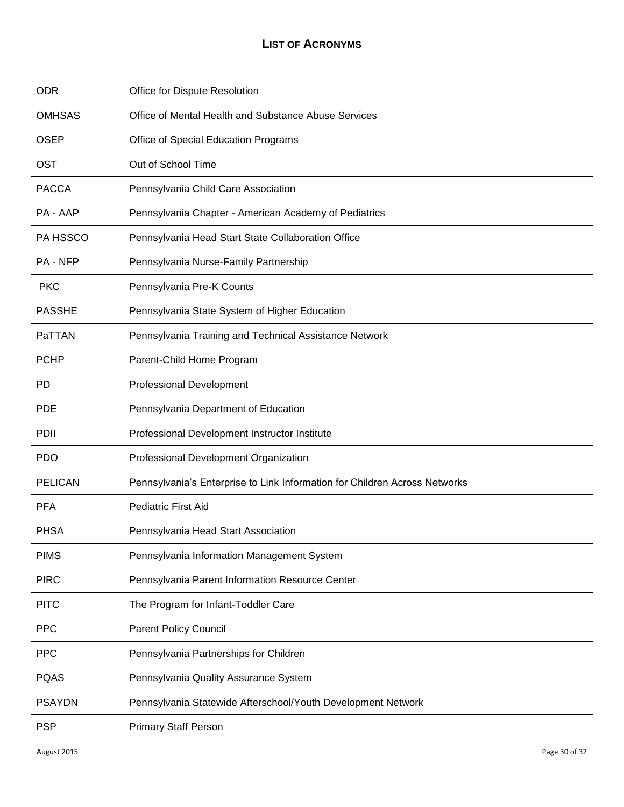| <b>ODR</b>      | Office for Dispute Resolution                                              |
|-----------------|----------------------------------------------------------------------------|
| <b>OMHSAS</b>   | Office of Mental Health and Substance Abuse Services                       |
| <b>OSEP</b>     | Office of Special Education Programs                                       |
| <b>OST</b>      | Out of School Time                                                         |
| <b>PACCA</b>    | Pennsylvania Child Care Association                                        |
| PA - AAP        | Pennsylvania Chapter - American Academy of Pediatrics                      |
| PA HSSCO        | Pennsylvania Head Start State Collaboration Office                         |
| <b>PA - NFP</b> | Pennsylvania Nurse-Family Partnership                                      |
| <b>PKC</b>      | Pennsylvania Pre-K Counts                                                  |
| <b>PASSHE</b>   | Pennsylvania State System of Higher Education                              |
| PaTTAN          | Pennsylvania Training and Technical Assistance Network                     |
| <b>PCHP</b>     | Parent-Child Home Program                                                  |
| <b>PD</b>       | <b>Professional Development</b>                                            |
| <b>PDE</b>      | Pennsylvania Department of Education                                       |
| <b>PDII</b>     | Professional Development Instructor Institute                              |
| <b>PDO</b>      | Professional Development Organization                                      |
| <b>PELICAN</b>  | Pennsylvania's Enterprise to Link Information for Children Across Networks |
| <b>PFA</b>      | <b>Pediatric First Aid</b>                                                 |
| <b>PHSA</b>     | Pennsylvania Head Start Association                                        |
| <b>PIMS</b>     | Pennsylvania Information Management System                                 |
| <b>PIRC</b>     | Pennsylvania Parent Information Resource Center                            |
| <b>PITC</b>     | The Program for Infant-Toddler Care                                        |
| <b>PPC</b>      | <b>Parent Policy Council</b>                                               |
| <b>PPC</b>      | Pennsylvania Partnerships for Children                                     |
| <b>PQAS</b>     | Pennsylvania Quality Assurance System                                      |
| <b>PSAYDN</b>   | Pennsylvania Statewide Afterschool/Youth Development Network               |
| <b>PSP</b>      | <b>Primary Staff Person</b>                                                |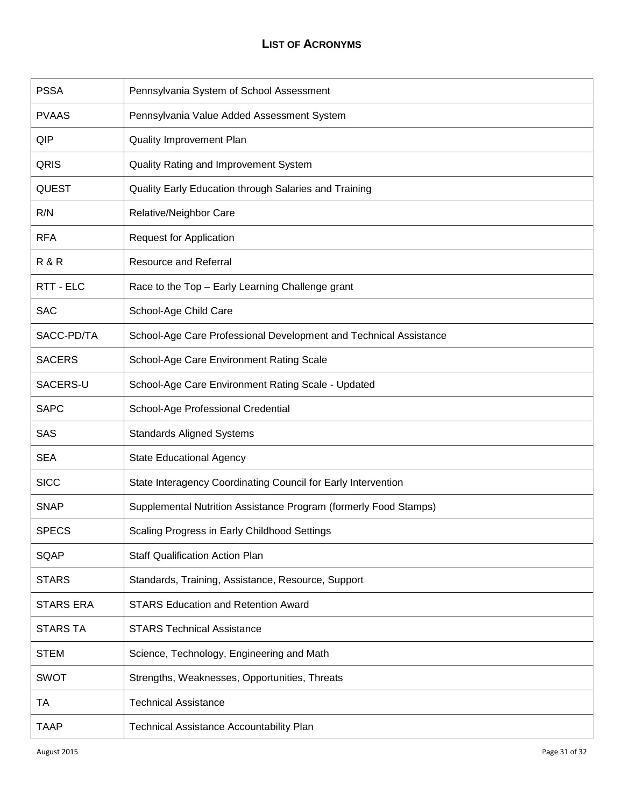| <b>PSSA</b>      | Pennsylvania System of School Assessment                          |
|------------------|-------------------------------------------------------------------|
| <b>PVAAS</b>     | Pennsylvania Value Added Assessment System                        |
| QIP              | <b>Quality Improvement Plan</b>                                   |
| QRIS             | Quality Rating and Improvement System                             |
| <b>QUEST</b>     | Quality Early Education through Salaries and Training             |
| R/N              | Relative/Neighbor Care                                            |
| <b>RFA</b>       | <b>Request for Application</b>                                    |
| R&R              | <b>Resource and Referral</b>                                      |
| RTT - ELC        | Race to the Top - Early Learning Challenge grant                  |
| <b>SAC</b>       | School-Age Child Care                                             |
| SACC-PD/TA       | School-Age Care Professional Development and Technical Assistance |
| <b>SACERS</b>    | School-Age Care Environment Rating Scale                          |
| SACERS-U         | School-Age Care Environment Rating Scale - Updated                |
| <b>SAPC</b>      | School-Age Professional Credential                                |
| SAS              | <b>Standards Aligned Systems</b>                                  |
| <b>SEA</b>       | <b>State Educational Agency</b>                                   |
| <b>SICC</b>      | State Interagency Coordinating Council for Early Intervention     |
| <b>SNAP</b>      | Supplemental Nutrition Assistance Program (formerly Food Stamps)  |
| <b>SPECS</b>     | Scaling Progress in Early Childhood Settings                      |
| SQAP             | <b>Staff Qualification Action Plan</b>                            |
| <b>STARS</b>     | Standards, Training, Assistance, Resource, Support                |
| <b>STARS ERA</b> | <b>STARS Education and Retention Award</b>                        |
| <b>STARS TA</b>  | <b>STARS Technical Assistance</b>                                 |
| <b>STEM</b>      | Science, Technology, Engineering and Math                         |
| <b>SWOT</b>      | Strengths, Weaknesses, Opportunities, Threats                     |
| TA               | <b>Technical Assistance</b>                                       |
| <b>TAAP</b>      | <b>Technical Assistance Accountability Plan</b>                   |